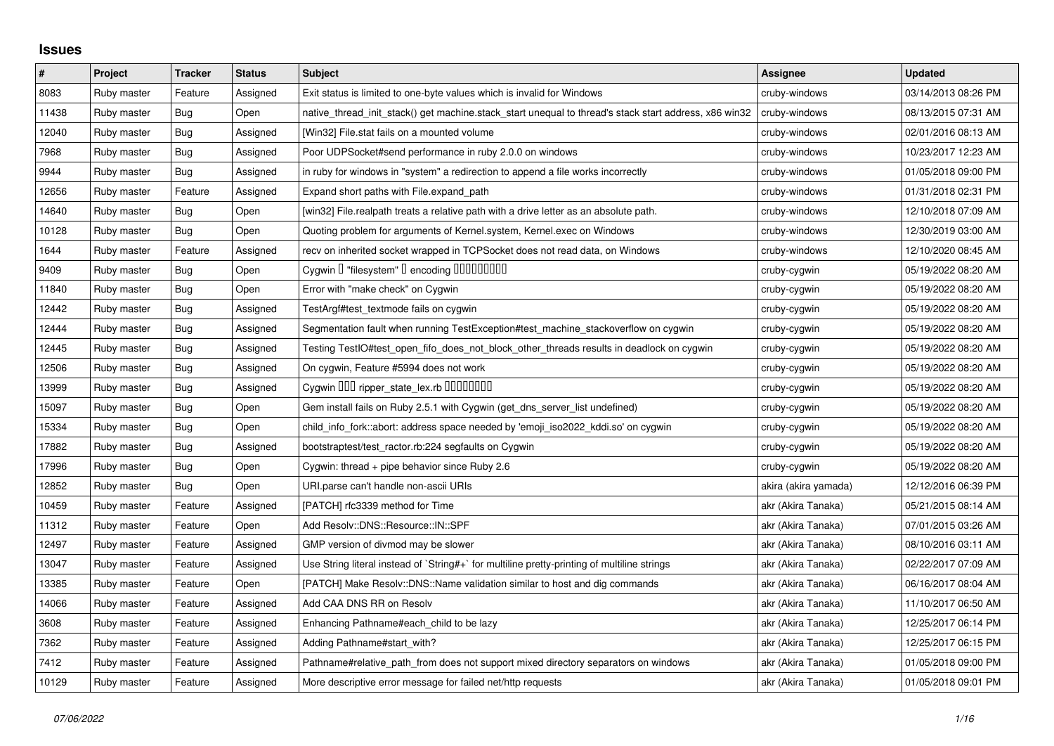## **Issues**

| $\pmb{\#}$ | Project     | <b>Tracker</b> | <b>Status</b> | <b>Subject</b>                                                                                        | <b>Assignee</b>      | <b>Updated</b>      |
|------------|-------------|----------------|---------------|-------------------------------------------------------------------------------------------------------|----------------------|---------------------|
| 8083       | Ruby master | Feature        | Assigned      | Exit status is limited to one-byte values which is invalid for Windows                                | cruby-windows        | 03/14/2013 08:26 PM |
| 11438      | Ruby master | Bug            | Open          | native thread init stack() get machine stack start unequal to thread's stack start address, x86 win32 | cruby-windows        | 08/13/2015 07:31 AM |
| 12040      | Ruby master | Bug            | Assigned      | [Win32] File.stat fails on a mounted volume                                                           | cruby-windows        | 02/01/2016 08:13 AM |
| 7968       | Ruby master | <b>Bug</b>     | Assigned      | Poor UDPSocket#send performance in ruby 2.0.0 on windows                                              | cruby-windows        | 10/23/2017 12:23 AM |
| 9944       | Ruby master | Bug            | Assigned      | in ruby for windows in "system" a redirection to append a file works incorrectly                      | cruby-windows        | 01/05/2018 09:00 PM |
| 12656      | Ruby master | Feature        | Assigned      | Expand short paths with File.expand_path                                                              | cruby-windows        | 01/31/2018 02:31 PM |
| 14640      | Ruby master | Bug            | Open          | [win32] File.realpath treats a relative path with a drive letter as an absolute path.                 | cruby-windows        | 12/10/2018 07:09 AM |
| 10128      | Ruby master | Bug            | Open          | Quoting problem for arguments of Kernel.system, Kernel.exec on Windows                                | cruby-windows        | 12/30/2019 03:00 AM |
| 1644       | Ruby master | Feature        | Assigned      | recv on inherited socket wrapped in TCPSocket does not read data, on Windows                          | cruby-windows        | 12/10/2020 08:45 AM |
| 9409       | Ruby master | Bug            | Open          | Cygwin I "filesystem" I encoding IIIIIIIIIIIII                                                        | cruby-cygwin         | 05/19/2022 08:20 AM |
| 11840      | Ruby master | Bug            | Open          | Error with "make check" on Cygwin                                                                     | cruby-cygwin         | 05/19/2022 08:20 AM |
| 12442      | Ruby master | <b>Bug</b>     | Assigned      | TestArgf#test_textmode fails on cygwin                                                                | cruby-cygwin         | 05/19/2022 08:20 AM |
| 12444      | Ruby master | <b>Bug</b>     | Assigned      | Segmentation fault when running TestException#test_machine_stackoverflow on cygwin                    | cruby-cygwin         | 05/19/2022 08:20 AM |
| 12445      | Ruby master | Bug            | Assigned      | Testing TestIO#test_open_fifo_does_not_block_other_threads results in deadlock on cygwin              | cruby-cygwin         | 05/19/2022 08:20 AM |
| 12506      | Ruby master | Bug            | Assigned      | On cygwin, Feature #5994 does not work                                                                | cruby-cygwin         | 05/19/2022 08:20 AM |
| 13999      | Ruby master | Bug            | Assigned      | Cygwin 000 ripper_state_lex.rb 0000000                                                                | cruby-cygwin         | 05/19/2022 08:20 AM |
| 15097      | Ruby master | <b>Bug</b>     | Open          | Gem install fails on Ruby 2.5.1 with Cygwin (get_dns_server_list undefined)                           | cruby-cygwin         | 05/19/2022 08:20 AM |
| 15334      | Ruby master | Bug            | Open          | child info fork::abort: address space needed by 'emoji iso2022 kddi.so' on cygwin                     | cruby-cygwin         | 05/19/2022 08:20 AM |
| 17882      | Ruby master | Bug            | Assigned      | bootstraptest/test_ractor.rb:224 segfaults on Cygwin                                                  | cruby-cygwin         | 05/19/2022 08:20 AM |
| 17996      | Ruby master | <b>Bug</b>     | Open          | Cygwin: thread + pipe behavior since Ruby 2.6                                                         | cruby-cygwin         | 05/19/2022 08:20 AM |
| 12852      | Ruby master | <b>Bug</b>     | Open          | URI.parse can't handle non-ascii URIs                                                                 | akira (akira yamada) | 12/12/2016 06:39 PM |
| 10459      | Ruby master | Feature        | Assigned      | [PATCH] rfc3339 method for Time                                                                       | akr (Akira Tanaka)   | 05/21/2015 08:14 AM |
| 11312      | Ruby master | Feature        | Open          | Add Resolv::DNS::Resource::IN::SPF                                                                    | akr (Akira Tanaka)   | 07/01/2015 03:26 AM |
| 12497      | Ruby master | Feature        | Assigned      | GMP version of divmod may be slower                                                                   | akr (Akira Tanaka)   | 08/10/2016 03:11 AM |
| 13047      | Ruby master | Feature        | Assigned      | Use String literal instead of `String#+` for multiline pretty-printing of multiline strings           | akr (Akira Tanaka)   | 02/22/2017 07:09 AM |
| 13385      | Ruby master | Feature        | Open          | [PATCH] Make Resolv::DNS::Name validation similar to host and dig commands                            | akr (Akira Tanaka)   | 06/16/2017 08:04 AM |
| 14066      | Ruby master | Feature        | Assigned      | Add CAA DNS RR on Resolv                                                                              | akr (Akira Tanaka)   | 11/10/2017 06:50 AM |
| 3608       | Ruby master | Feature        | Assigned      | Enhancing Pathname#each_child to be lazy                                                              | akr (Akira Tanaka)   | 12/25/2017 06:14 PM |
| 7362       | Ruby master | Feature        | Assigned      | Adding Pathname#start with?                                                                           | akr (Akira Tanaka)   | 12/25/2017 06:15 PM |
| 7412       | Ruby master | Feature        | Assigned      | Pathname#relative_path_from does not support mixed directory separators on windows                    | akr (Akira Tanaka)   | 01/05/2018 09:00 PM |
| 10129      | Ruby master | Feature        | Assigned      | More descriptive error message for failed net/http requests                                           | akr (Akira Tanaka)   | 01/05/2018 09:01 PM |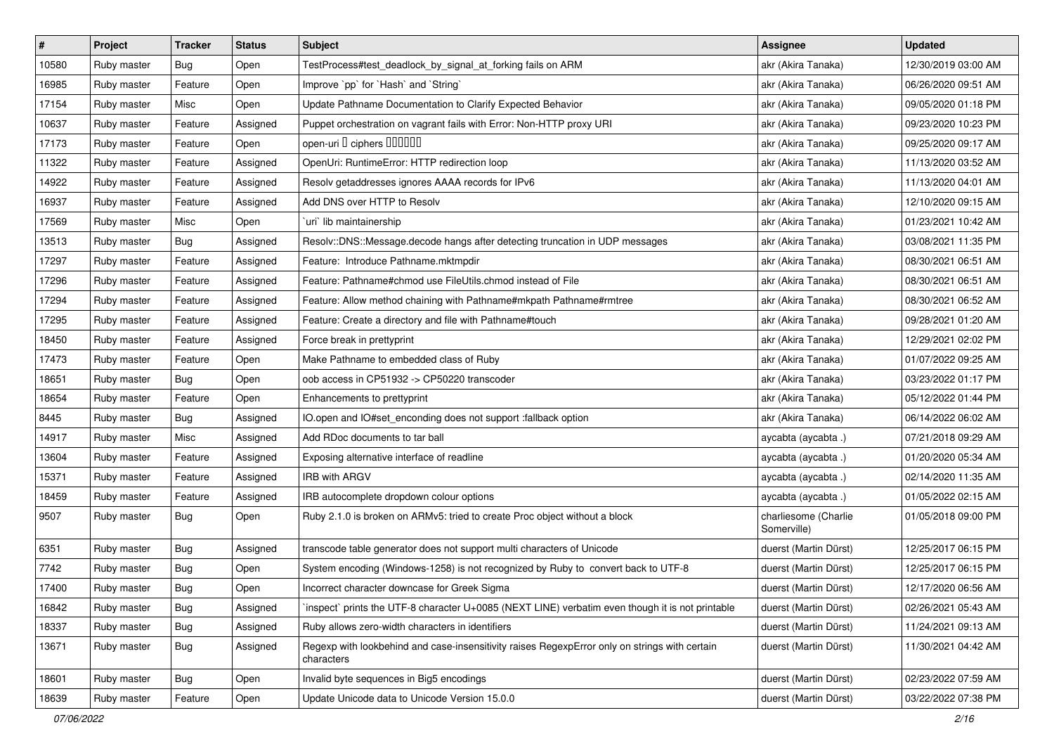| $\vert$ # | Project     | <b>Tracker</b> | <b>Status</b> | <b>Subject</b>                                                                                              | <b>Assignee</b>                     | <b>Updated</b>      |
|-----------|-------------|----------------|---------------|-------------------------------------------------------------------------------------------------------------|-------------------------------------|---------------------|
| 10580     | Ruby master | Bug            | Open          | TestProcess#test_deadlock_by_signal_at_forking fails on ARM                                                 | akr (Akira Tanaka)                  | 12/30/2019 03:00 AM |
| 16985     | Ruby master | Feature        | Open          | Improve `pp` for `Hash` and `String`                                                                        | akr (Akira Tanaka)                  | 06/26/2020 09:51 AM |
| 17154     | Ruby master | Misc           | Open          | Update Pathname Documentation to Clarify Expected Behavior                                                  | akr (Akira Tanaka)                  | 09/05/2020 01:18 PM |
| 10637     | Ruby master | Feature        | Assigned      | Puppet orchestration on vagrant fails with Error: Non-HTTP proxy URI                                        | akr (Akira Tanaka)                  | 09/23/2020 10:23 PM |
| 17173     | Ruby master | Feature        | Open          | open-uri I ciphers IIIIIII                                                                                  | akr (Akira Tanaka)                  | 09/25/2020 09:17 AM |
| 11322     | Ruby master | Feature        | Assigned      | OpenUri: RuntimeError: HTTP redirection loop                                                                | akr (Akira Tanaka)                  | 11/13/2020 03:52 AM |
| 14922     | Ruby master | Feature        | Assigned      | Resolv getaddresses ignores AAAA records for IPv6                                                           | akr (Akira Tanaka)                  | 11/13/2020 04:01 AM |
| 16937     | Ruby master | Feature        | Assigned      | Add DNS over HTTP to Resolv                                                                                 | akr (Akira Tanaka)                  | 12/10/2020 09:15 AM |
| 17569     | Ruby master | Misc           | Open          | uri` lib maintainership                                                                                     | akr (Akira Tanaka)                  | 01/23/2021 10:42 AM |
| 13513     | Ruby master | Bug            | Assigned      | Resolv::DNS::Message.decode hangs after detecting truncation in UDP messages                                | akr (Akira Tanaka)                  | 03/08/2021 11:35 PM |
| 17297     | Ruby master | Feature        | Assigned      | Feature: Introduce Pathname.mktmpdir                                                                        | akr (Akira Tanaka)                  | 08/30/2021 06:51 AM |
| 17296     | Ruby master | Feature        | Assigned      | Feature: Pathname#chmod use FileUtils.chmod instead of File                                                 | akr (Akira Tanaka)                  | 08/30/2021 06:51 AM |
| 17294     | Ruby master | Feature        | Assigned      | Feature: Allow method chaining with Pathname#mkpath Pathname#rmtree                                         | akr (Akira Tanaka)                  | 08/30/2021 06:52 AM |
| 17295     | Ruby master | Feature        | Assigned      | Feature: Create a directory and file with Pathname#touch                                                    | akr (Akira Tanaka)                  | 09/28/2021 01:20 AM |
| 18450     | Ruby master | Feature        | Assigned      | Force break in prettyprint                                                                                  | akr (Akira Tanaka)                  | 12/29/2021 02:02 PM |
| 17473     | Ruby master | Feature        | Open          | Make Pathname to embedded class of Ruby                                                                     | akr (Akira Tanaka)                  | 01/07/2022 09:25 AM |
| 18651     | Ruby master | Bug            | Open          | oob access in CP51932 -> CP50220 transcoder                                                                 | akr (Akira Tanaka)                  | 03/23/2022 01:17 PM |
| 18654     | Ruby master | Feature        | Open          | Enhancements to prettyprint                                                                                 | akr (Akira Tanaka)                  | 05/12/2022 01:44 PM |
| 8445      | Ruby master | Bug            | Assigned      | IO.open and IO#set_enconding does not support :fallback option                                              | akr (Akira Tanaka)                  | 06/14/2022 06:02 AM |
| 14917     | Ruby master | Misc           | Assigned      | Add RDoc documents to tar ball                                                                              | aycabta (aycabta.)                  | 07/21/2018 09:29 AM |
| 13604     | Ruby master | Feature        | Assigned      | Exposing alternative interface of readline                                                                  | aycabta (aycabta .)                 | 01/20/2020 05:34 AM |
| 15371     | Ruby master | Feature        | Assigned      | <b>IRB with ARGV</b>                                                                                        | aycabta (aycabta .)                 | 02/14/2020 11:35 AM |
| 18459     | Ruby master | Feature        | Assigned      | IRB autocomplete dropdown colour options                                                                    | aycabta (aycabta.)                  | 01/05/2022 02:15 AM |
| 9507      | Ruby master | Bug            | Open          | Ruby 2.1.0 is broken on ARMv5: tried to create Proc object without a block                                  | charliesome (Charlie<br>Somerville) | 01/05/2018 09:00 PM |
| 6351      | Ruby master | Bug            | Assigned      | transcode table generator does not support multi characters of Unicode                                      | duerst (Martin Dürst)               | 12/25/2017 06:15 PM |
| 7742      | Ruby master | Bug            | Open          | System encoding (Windows-1258) is not recognized by Ruby to convert back to UTF-8                           | duerst (Martin Dürst)               | 12/25/2017 06:15 PM |
| 17400     | Ruby master | Bug            | Open          | Incorrect character downcase for Greek Sigma                                                                | duerst (Martin Dürst)               | 12/17/2020 06:56 AM |
| 16842     | Ruby master | <b>Bug</b>     | Assigned      | inspect` prints the UTF-8 character U+0085 (NEXT LINE) verbatim even though it is not printable             | duerst (Martin Dürst)               | 02/26/2021 05:43 AM |
| 18337     | Ruby master | Bug            | Assigned      | Ruby allows zero-width characters in identifiers                                                            | duerst (Martin Dürst)               | 11/24/2021 09:13 AM |
| 13671     | Ruby master | <b>Bug</b>     | Assigned      | Regexp with lookbehind and case-insensitivity raises RegexpError only on strings with certain<br>characters | duerst (Martin Dürst)               | 11/30/2021 04:42 AM |
| 18601     | Ruby master | Bug            | Open          | Invalid byte sequences in Big5 encodings                                                                    | duerst (Martin Dürst)               | 02/23/2022 07:59 AM |
| 18639     | Ruby master | Feature        | Open          | Update Unicode data to Unicode Version 15.0.0                                                               | duerst (Martin Dürst)               | 03/22/2022 07:38 PM |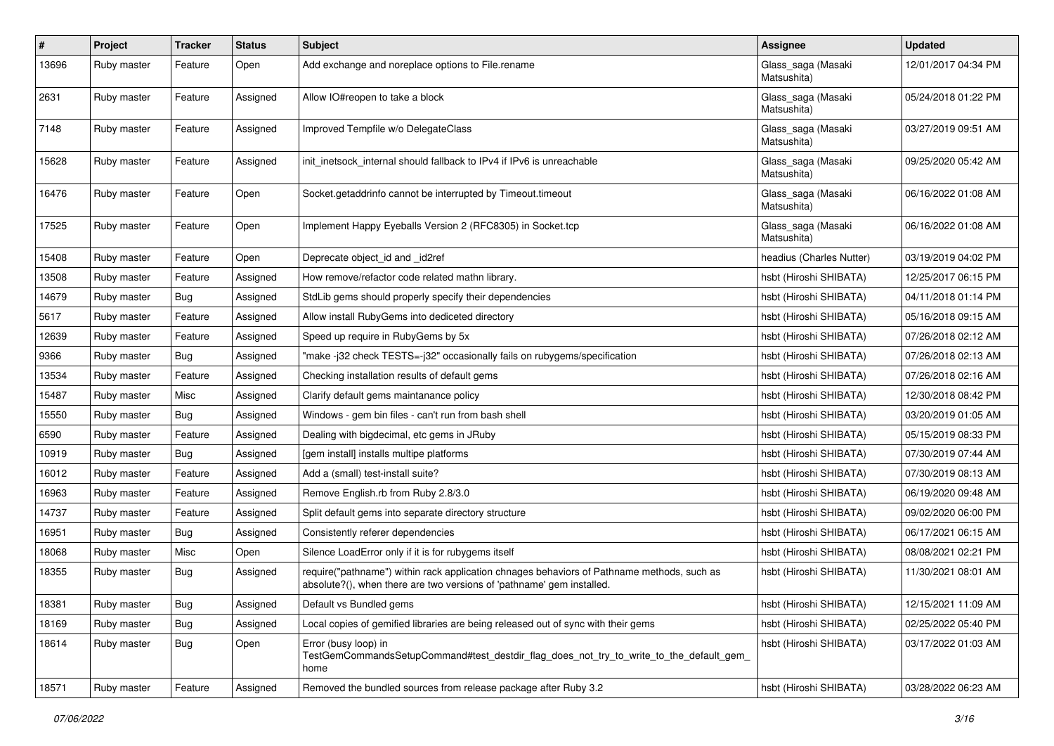| $\sharp$ | Project     | <b>Tracker</b> | <b>Status</b> | <b>Subject</b>                                                                                                                                                      | <b>Assignee</b>                   | <b>Updated</b>      |
|----------|-------------|----------------|---------------|---------------------------------------------------------------------------------------------------------------------------------------------------------------------|-----------------------------------|---------------------|
| 13696    | Ruby master | Feature        | Open          | Add exchange and noreplace options to File.rename                                                                                                                   | Glass_saga (Masaki<br>Matsushita) | 12/01/2017 04:34 PM |
| 2631     | Ruby master | Feature        | Assigned      | Allow IO#reopen to take a block                                                                                                                                     | Glass_saga (Masaki<br>Matsushita) | 05/24/2018 01:22 PM |
| 7148     | Ruby master | Feature        | Assigned      | Improved Tempfile w/o DelegateClass                                                                                                                                 | Glass_saga (Masaki<br>Matsushita) | 03/27/2019 09:51 AM |
| 15628    | Ruby master | Feature        | Assigned      | init_inetsock_internal should fallback to IPv4 if IPv6 is unreachable                                                                                               | Glass_saga (Masaki<br>Matsushita) | 09/25/2020 05:42 AM |
| 16476    | Ruby master | Feature        | Open          | Socket.getaddrinfo cannot be interrupted by Timeout.timeout                                                                                                         | Glass_saga (Masaki<br>Matsushita) | 06/16/2022 01:08 AM |
| 17525    | Ruby master | Feature        | Open          | Implement Happy Eyeballs Version 2 (RFC8305) in Socket.tcp                                                                                                          | Glass_saga (Masaki<br>Matsushita) | 06/16/2022 01:08 AM |
| 15408    | Ruby master | Feature        | Open          | Deprecate object id and id2ref                                                                                                                                      | headius (Charles Nutter)          | 03/19/2019 04:02 PM |
| 13508    | Ruby master | Feature        | Assigned      | How remove/refactor code related mathn library.                                                                                                                     | hsbt (Hiroshi SHIBATA)            | 12/25/2017 06:15 PM |
| 14679    | Ruby master | Bug            | Assigned      | StdLib gems should properly specify their dependencies                                                                                                              | hsbt (Hiroshi SHIBATA)            | 04/11/2018 01:14 PM |
| 5617     | Ruby master | Feature        | Assigned      | Allow install RubyGems into dediceted directory                                                                                                                     | hsbt (Hiroshi SHIBATA)            | 05/16/2018 09:15 AM |
| 12639    | Ruby master | Feature        | Assigned      | Speed up require in RubyGems by 5x                                                                                                                                  | hsbt (Hiroshi SHIBATA)            | 07/26/2018 02:12 AM |
| 9366     | Ruby master | Bug            | Assigned      | "make -j32 check TESTS=-j32" occasionally fails on rubygems/specification                                                                                           | hsbt (Hiroshi SHIBATA)            | 07/26/2018 02:13 AM |
| 13534    | Ruby master | Feature        | Assigned      | Checking installation results of default gems                                                                                                                       | hsbt (Hiroshi SHIBATA)            | 07/26/2018 02:16 AM |
| 15487    | Ruby master | Misc           | Assigned      | Clarify default gems maintanance policy                                                                                                                             | hsbt (Hiroshi SHIBATA)            | 12/30/2018 08:42 PM |
| 15550    | Ruby master | Bug            | Assigned      | Windows - gem bin files - can't run from bash shell                                                                                                                 | hsbt (Hiroshi SHIBATA)            | 03/20/2019 01:05 AM |
| 6590     | Ruby master | Feature        | Assigned      | Dealing with bigdecimal, etc gems in JRuby                                                                                                                          | hsbt (Hiroshi SHIBATA)            | 05/15/2019 08:33 PM |
| 10919    | Ruby master | Bug            | Assigned      | [gem install] installs multipe platforms                                                                                                                            | hsbt (Hiroshi SHIBATA)            | 07/30/2019 07:44 AM |
| 16012    | Ruby master | Feature        | Assigned      | Add a (small) test-install suite?                                                                                                                                   | hsbt (Hiroshi SHIBATA)            | 07/30/2019 08:13 AM |
| 16963    | Ruby master | Feature        | Assigned      | Remove English.rb from Ruby 2.8/3.0                                                                                                                                 | hsbt (Hiroshi SHIBATA)            | 06/19/2020 09:48 AM |
| 14737    | Ruby master | Feature        | Assigned      | Split default gems into separate directory structure                                                                                                                | hsbt (Hiroshi SHIBATA)            | 09/02/2020 06:00 PM |
| 16951    | Ruby master | <b>Bug</b>     | Assigned      | Consistently referer dependencies                                                                                                                                   | hsbt (Hiroshi SHIBATA)            | 06/17/2021 06:15 AM |
| 18068    | Ruby master | Misc           | Open          | Silence LoadError only if it is for rubygems itself                                                                                                                 | hsbt (Hiroshi SHIBATA)            | 08/08/2021 02:21 PM |
| 18355    | Ruby master | Bug            | Assigned      | require("pathname") within rack application chnages behaviors of Pathname methods, such as<br>absolute?(), when there are two versions of 'pathname' gem installed. | hsbt (Hiroshi SHIBATA)            | 11/30/2021 08:01 AM |
| 18381    | Ruby master | <b>Bug</b>     | Assigned      | Default vs Bundled gems                                                                                                                                             | hsbt (Hiroshi SHIBATA)            | 12/15/2021 11:09 AM |
| 18169    | Ruby master | Bug            | Assigned      | Local copies of gemified libraries are being released out of sync with their gems                                                                                   | hsbt (Hiroshi SHIBATA)            | 02/25/2022 05:40 PM |
| 18614    | Ruby master | <b>Bug</b>     | Open          | Error (busy loop) in<br>TestGemCommandsSetupCommand#test_destdir_flag_does_not_try_to_write_to_the_default_gem<br>home                                              | hsbt (Hiroshi SHIBATA)            | 03/17/2022 01:03 AM |
| 18571    | Ruby master | Feature        | Assigned      | Removed the bundled sources from release package after Ruby 3.2                                                                                                     | hsbt (Hiroshi SHIBATA)            | 03/28/2022 06:23 AM |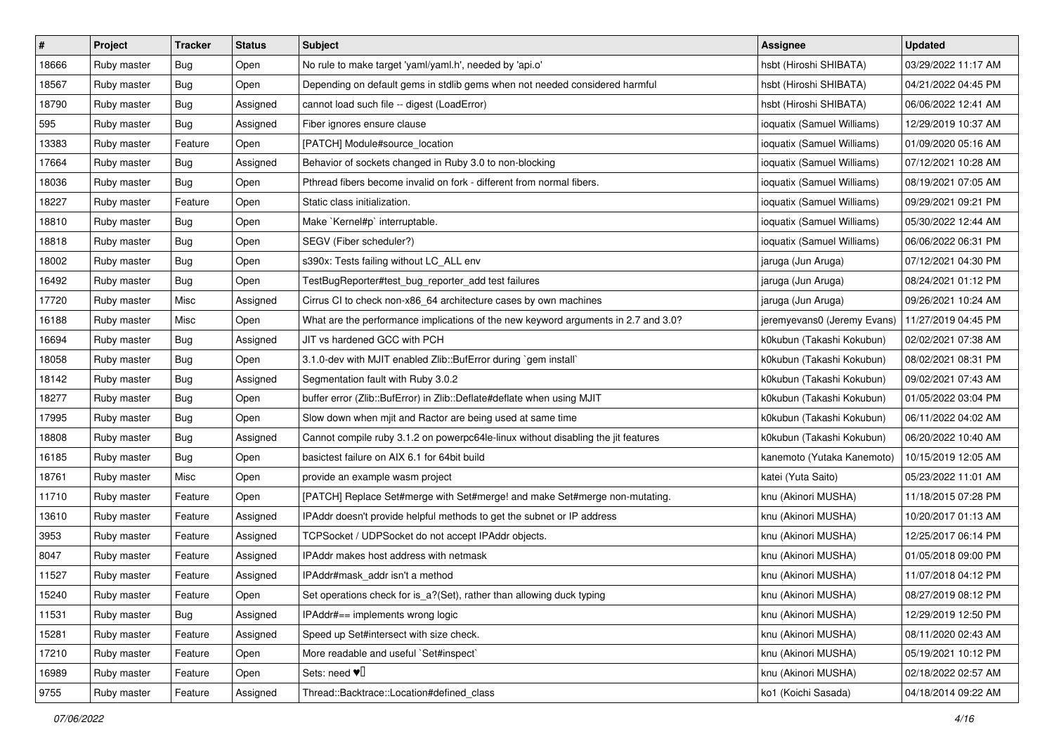| $\vert$ # | Project     | Tracker    | <b>Status</b> | <b>Subject</b>                                                                     | <b>Assignee</b>             | <b>Updated</b>      |
|-----------|-------------|------------|---------------|------------------------------------------------------------------------------------|-----------------------------|---------------------|
| 18666     | Ruby master | <b>Bug</b> | Open          | No rule to make target 'yaml/yaml.h', needed by 'api.o'                            | hsbt (Hiroshi SHIBATA)      | 03/29/2022 11:17 AM |
| 18567     | Ruby master | Bug        | Open          | Depending on default gems in stdlib gems when not needed considered harmful        | hsbt (Hiroshi SHIBATA)      | 04/21/2022 04:45 PM |
| 18790     | Ruby master | <b>Bug</b> | Assigned      | cannot load such file -- digest (LoadError)                                        | hsbt (Hiroshi SHIBATA)      | 06/06/2022 12:41 AM |
| 595       | Ruby master | <b>Bug</b> | Assigned      | Fiber ignores ensure clause                                                        | ioquatix (Samuel Williams)  | 12/29/2019 10:37 AM |
| 13383     | Ruby master | Feature    | Open          | [PATCH] Module#source_location                                                     | ioquatix (Samuel Williams)  | 01/09/2020 05:16 AM |
| 17664     | Ruby master | <b>Bug</b> | Assigned      | Behavior of sockets changed in Ruby 3.0 to non-blocking                            | ioquatix (Samuel Williams)  | 07/12/2021 10:28 AM |
| 18036     | Ruby master | Bug        | Open          | Pthread fibers become invalid on fork - different from normal fibers.              | ioquatix (Samuel Williams)  | 08/19/2021 07:05 AM |
| 18227     | Ruby master | Feature    | Open          | Static class initialization.                                                       | ioquatix (Samuel Williams)  | 09/29/2021 09:21 PM |
| 18810     | Ruby master | Bug        | Open          | Make `Kernel#p` interruptable.                                                     | ioquatix (Samuel Williams)  | 05/30/2022 12:44 AM |
| 18818     | Ruby master | Bug        | Open          | SEGV (Fiber scheduler?)                                                            | ioquatix (Samuel Williams)  | 06/06/2022 06:31 PM |
| 18002     | Ruby master | <b>Bug</b> | Open          | s390x: Tests failing without LC_ALL env                                            | jaruga (Jun Aruga)          | 07/12/2021 04:30 PM |
| 16492     | Ruby master | <b>Bug</b> | Open          | TestBugReporter#test_bug_reporter_add test failures                                | jaruga (Jun Aruga)          | 08/24/2021 01:12 PM |
| 17720     | Ruby master | Misc       | Assigned      | Cirrus CI to check non-x86_64 architecture cases by own machines                   | jaruga (Jun Aruga)          | 09/26/2021 10:24 AM |
| 16188     | Ruby master | Misc       | Open          | What are the performance implications of the new keyword arguments in 2.7 and 3.0? | jeremyevans0 (Jeremy Evans) | 11/27/2019 04:45 PM |
| 16694     | Ruby master | <b>Bug</b> | Assigned      | JIT vs hardened GCC with PCH                                                       | k0kubun (Takashi Kokubun)   | 02/02/2021 07:38 AM |
| 18058     | Ruby master | Bug        | Open          | 3.1.0-dev with MJIT enabled Zlib::BufError during `gem install`                    | k0kubun (Takashi Kokubun)   | 08/02/2021 08:31 PM |
| 18142     | Ruby master | Bug        | Assigned      | Segmentation fault with Ruby 3.0.2                                                 | k0kubun (Takashi Kokubun)   | 09/02/2021 07:43 AM |
| 18277     | Ruby master | Bug        | Open          | buffer error (Zlib::BufError) in Zlib::Deflate#deflate when using MJIT             | k0kubun (Takashi Kokubun)   | 01/05/2022 03:04 PM |
| 17995     | Ruby master | <b>Bug</b> | Open          | Slow down when mjit and Ractor are being used at same time                         | k0kubun (Takashi Kokubun)   | 06/11/2022 04:02 AM |
| 18808     | Ruby master | <b>Bug</b> | Assigned      | Cannot compile ruby 3.1.2 on powerpc64le-linux without disabling the jit features  | k0kubun (Takashi Kokubun)   | 06/20/2022 10:40 AM |
| 16185     | Ruby master | <b>Bug</b> | Open          | basictest failure on AIX 6.1 for 64bit build                                       | kanemoto (Yutaka Kanemoto)  | 10/15/2019 12:05 AM |
| 18761     | Ruby master | Misc       | Open          | provide an example wasm project                                                    | katei (Yuta Saito)          | 05/23/2022 11:01 AM |
| 11710     | Ruby master | Feature    | Open          | [PATCH] Replace Set#merge with Set#merge! and make Set#merge non-mutating.         | knu (Akinori MUSHA)         | 11/18/2015 07:28 PM |
| 13610     | Ruby master | Feature    | Assigned      | IPAddr doesn't provide helpful methods to get the subnet or IP address             | knu (Akinori MUSHA)         | 10/20/2017 01:13 AM |
| 3953      | Ruby master | Feature    | Assigned      | TCPSocket / UDPSocket do not accept IPAddr objects.                                | knu (Akinori MUSHA)         | 12/25/2017 06:14 PM |
| 8047      | Ruby master | Feature    | Assigned      | <b>IPAddr makes host address with netmask</b>                                      | knu (Akinori MUSHA)         | 01/05/2018 09:00 PM |
| 11527     | Ruby master | Feature    | Assigned      | IPAddr#mask_addr isn't a method                                                    | knu (Akinori MUSHA)         | 11/07/2018 04:12 PM |
| 15240     | Ruby master | Feature    | Open          | Set operations check for is_a?(Set), rather than allowing duck typing              | knu (Akinori MUSHA)         | 08/27/2019 08:12 PM |
| 11531     | Ruby master | Bug        | Assigned      | IPAddr#== implements wrong logic                                                   | knu (Akinori MUSHA)         | 12/29/2019 12:50 PM |
| 15281     | Ruby master | Feature    | Assigned      | Speed up Set#intersect with size check.                                            | knu (Akinori MUSHA)         | 08/11/2020 02:43 AM |
| 17210     | Ruby master | Feature    | Open          | More readable and useful `Set#inspect`                                             | knu (Akinori MUSHA)         | 05/19/2021 10:12 PM |
| 16989     | Ruby master | Feature    | Open          | Sets: need $\Psi$ <sup><math>\Box</math></sup>                                     | knu (Akinori MUSHA)         | 02/18/2022 02:57 AM |
| 9755      | Ruby master | Feature    | Assigned      | Thread::Backtrace::Location#defined_class                                          | ko1 (Koichi Sasada)         | 04/18/2014 09:22 AM |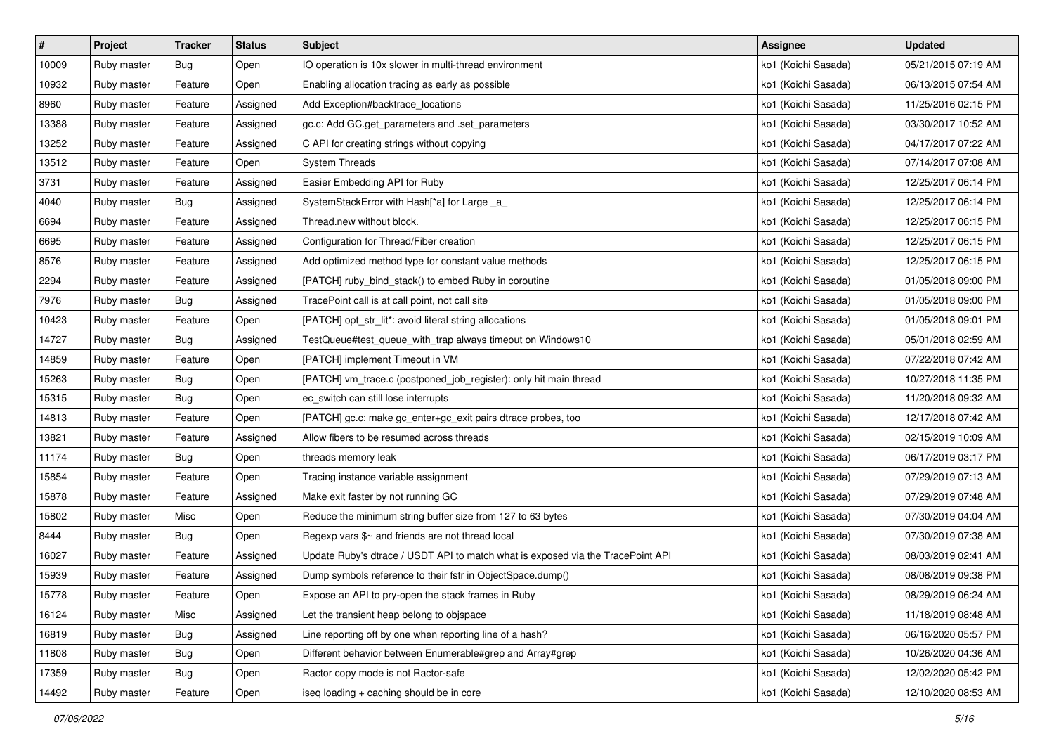| $\vert$ # | Project     | Tracker    | <b>Status</b> | <b>Subject</b>                                                                  | <b>Assignee</b>     | <b>Updated</b>      |
|-----------|-------------|------------|---------------|---------------------------------------------------------------------------------|---------------------|---------------------|
| 10009     | Ruby master | Bug        | Open          | IO operation is 10x slower in multi-thread environment                          | ko1 (Koichi Sasada) | 05/21/2015 07:19 AM |
| 10932     | Ruby master | Feature    | Open          | Enabling allocation tracing as early as possible                                | ko1 (Koichi Sasada) | 06/13/2015 07:54 AM |
| 8960      | Ruby master | Feature    | Assigned      | Add Exception#backtrace_locations                                               | ko1 (Koichi Sasada) | 11/25/2016 02:15 PM |
| 13388     | Ruby master | Feature    | Assigned      | gc.c: Add GC.get_parameters and .set_parameters                                 | ko1 (Koichi Sasada) | 03/30/2017 10:52 AM |
| 13252     | Ruby master | Feature    | Assigned      | C API for creating strings without copying                                      | ko1 (Koichi Sasada) | 04/17/2017 07:22 AM |
| 13512     | Ruby master | Feature    | Open          | <b>System Threads</b>                                                           | ko1 (Koichi Sasada) | 07/14/2017 07:08 AM |
| 3731      | Ruby master | Feature    | Assigned      | Easier Embedding API for Ruby                                                   | ko1 (Koichi Sasada) | 12/25/2017 06:14 PM |
| 4040      | Ruby master | Bug        | Assigned      | SystemStackError with Hash[*a] for Large _a_                                    | ko1 (Koichi Sasada) | 12/25/2017 06:14 PM |
| 6694      | Ruby master | Feature    | Assigned      | Thread.new without block.                                                       | ko1 (Koichi Sasada) | 12/25/2017 06:15 PM |
| 6695      | Ruby master | Feature    | Assigned      | Configuration for Thread/Fiber creation                                         | ko1 (Koichi Sasada) | 12/25/2017 06:15 PM |
| 8576      | Ruby master | Feature    | Assigned      | Add optimized method type for constant value methods                            | ko1 (Koichi Sasada) | 12/25/2017 06:15 PM |
| 2294      | Ruby master | Feature    | Assigned      | [PATCH] ruby_bind_stack() to embed Ruby in coroutine                            | ko1 (Koichi Sasada) | 01/05/2018 09:00 PM |
| 7976      | Ruby master | Bug        | Assigned      | TracePoint call is at call point, not call site                                 | ko1 (Koichi Sasada) | 01/05/2018 09:00 PM |
| 10423     | Ruby master | Feature    | Open          | [PATCH] opt_str_lit*: avoid literal string allocations                          | ko1 (Koichi Sasada) | 01/05/2018 09:01 PM |
| 14727     | Ruby master | Bug        | Assigned      | TestQueue#test_queue_with_trap always timeout on Windows10                      | ko1 (Koichi Sasada) | 05/01/2018 02:59 AM |
| 14859     | Ruby master | Feature    | Open          | [PATCH] implement Timeout in VM                                                 | ko1 (Koichi Sasada) | 07/22/2018 07:42 AM |
| 15263     | Ruby master | Bug        | Open          | [PATCH] vm_trace.c (postponed_job_register): only hit main thread               | ko1 (Koichi Sasada) | 10/27/2018 11:35 PM |
| 15315     | Ruby master | Bug        | Open          | ec_switch can still lose interrupts                                             | ko1 (Koichi Sasada) | 11/20/2018 09:32 AM |
| 14813     | Ruby master | Feature    | Open          | [PATCH] gc.c: make gc_enter+gc_exit pairs dtrace probes, too                    | ko1 (Koichi Sasada) | 12/17/2018 07:42 AM |
| 13821     | Ruby master | Feature    | Assigned      | Allow fibers to be resumed across threads                                       | ko1 (Koichi Sasada) | 02/15/2019 10:09 AM |
| 11174     | Ruby master | Bug        | Open          | threads memory leak                                                             | ko1 (Koichi Sasada) | 06/17/2019 03:17 PM |
| 15854     | Ruby master | Feature    | Open          | Tracing instance variable assignment                                            | ko1 (Koichi Sasada) | 07/29/2019 07:13 AM |
| 15878     | Ruby master | Feature    | Assigned      | Make exit faster by not running GC                                              | ko1 (Koichi Sasada) | 07/29/2019 07:48 AM |
| 15802     | Ruby master | Misc       | Open          | Reduce the minimum string buffer size from 127 to 63 bytes                      | ko1 (Koichi Sasada) | 07/30/2019 04:04 AM |
| 8444      | Ruby master | Bug        | Open          | Regexp vars \$~ and friends are not thread local                                | ko1 (Koichi Sasada) | 07/30/2019 07:38 AM |
| 16027     | Ruby master | Feature    | Assigned      | Update Ruby's dtrace / USDT API to match what is exposed via the TracePoint API | ko1 (Koichi Sasada) | 08/03/2019 02:41 AM |
| 15939     | Ruby master | Feature    | Assigned      | Dump symbols reference to their fstr in ObjectSpace.dump()                      | ko1 (Koichi Sasada) | 08/08/2019 09:38 PM |
| 15778     | Ruby master | Feature    | Open          | Expose an API to pry-open the stack frames in Ruby                              | ko1 (Koichi Sasada) | 08/29/2019 06:24 AM |
| 16124     | Ruby master | Misc       | Assigned      | Let the transient heap belong to objspace                                       | ko1 (Koichi Sasada) | 11/18/2019 08:48 AM |
| 16819     | Ruby master | Bug        | Assigned      | Line reporting off by one when reporting line of a hash?                        | ko1 (Koichi Sasada) | 06/16/2020 05:57 PM |
| 11808     | Ruby master | <b>Bug</b> | Open          | Different behavior between Enumerable#grep and Array#grep                       | ko1 (Koichi Sasada) | 10/26/2020 04:36 AM |
| 17359     | Ruby master | Bug        | Open          | Ractor copy mode is not Ractor-safe                                             | ko1 (Koichi Sasada) | 12/02/2020 05:42 PM |
| 14492     | Ruby master | Feature    | Open          | iseq loading + caching should be in core                                        | ko1 (Koichi Sasada) | 12/10/2020 08:53 AM |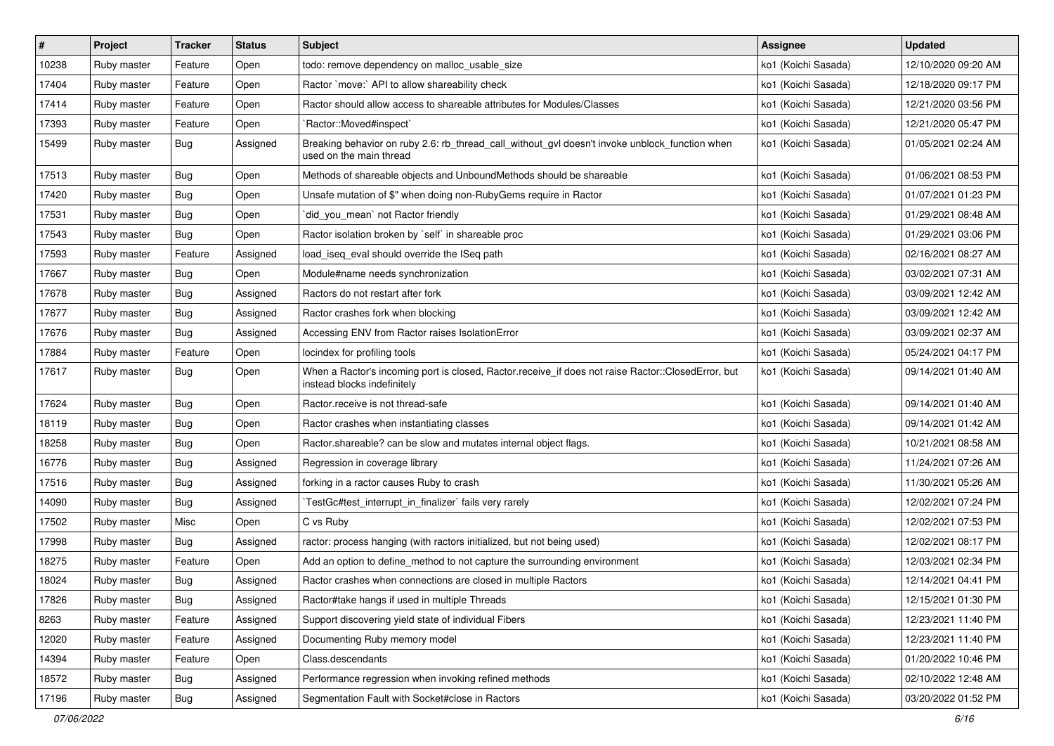| $\vert$ # | Project     | <b>Tracker</b> | <b>Status</b> | Subject                                                                                                                           | Assignee            | <b>Updated</b>      |
|-----------|-------------|----------------|---------------|-----------------------------------------------------------------------------------------------------------------------------------|---------------------|---------------------|
| 10238     | Ruby master | Feature        | Open          | todo: remove dependency on malloc_usable_size                                                                                     | ko1 (Koichi Sasada) | 12/10/2020 09:20 AM |
| 17404     | Ruby master | Feature        | Open          | Ractor `move:` API to allow shareability check                                                                                    | ko1 (Koichi Sasada) | 12/18/2020 09:17 PM |
| 17414     | Ruby master | Feature        | Open          | Ractor should allow access to shareable attributes for Modules/Classes                                                            | ko1 (Koichi Sasada) | 12/21/2020 03:56 PM |
| 17393     | Ruby master | Feature        | Open          | `Ractor::Moved#inspect`                                                                                                           | ko1 (Koichi Sasada) | 12/21/2020 05:47 PM |
| 15499     | Ruby master | Bug            | Assigned      | Breaking behavior on ruby 2.6: rb_thread_call_without_gvl doesn't invoke unblock_function when<br>used on the main thread         | ko1 (Koichi Sasada) | 01/05/2021 02:24 AM |
| 17513     | Ruby master | Bug            | Open          | Methods of shareable objects and UnboundMethods should be shareable                                                               | ko1 (Koichi Sasada) | 01/06/2021 08:53 PM |
| 17420     | Ruby master | Bug            | Open          | Unsafe mutation of \$" when doing non-RubyGems require in Ractor                                                                  | ko1 (Koichi Sasada) | 01/07/2021 01:23 PM |
| 17531     | Ruby master | Bug            | Open          | `did_you_mean` not Ractor friendly                                                                                                | ko1 (Koichi Sasada) | 01/29/2021 08:48 AM |
| 17543     | Ruby master | <b>Bug</b>     | Open          | Ractor isolation broken by `self` in shareable proc                                                                               | ko1 (Koichi Sasada) | 01/29/2021 03:06 PM |
| 17593     | Ruby master | Feature        | Assigned      | load_iseq_eval should override the ISeq path                                                                                      | ko1 (Koichi Sasada) | 02/16/2021 08:27 AM |
| 17667     | Ruby master | Bug            | Open          | Module#name needs synchronization                                                                                                 | ko1 (Koichi Sasada) | 03/02/2021 07:31 AM |
| 17678     | Ruby master | Bug            | Assigned      | Ractors do not restart after fork                                                                                                 | ko1 (Koichi Sasada) | 03/09/2021 12:42 AM |
| 17677     | Ruby master | <b>Bug</b>     | Assigned      | Ractor crashes fork when blocking                                                                                                 | ko1 (Koichi Sasada) | 03/09/2021 12:42 AM |
| 17676     | Ruby master | Bug            | Assigned      | Accessing ENV from Ractor raises IsolationError                                                                                   | ko1 (Koichi Sasada) | 03/09/2021 02:37 AM |
| 17884     | Ruby master | Feature        | Open          | locindex for profiling tools                                                                                                      | ko1 (Koichi Sasada) | 05/24/2021 04:17 PM |
| 17617     | Ruby master | Bug            | Open          | When a Ractor's incoming port is closed, Ractor.receive_if does not raise Ractor::ClosedError, but<br>instead blocks indefinitely | ko1 (Koichi Sasada) | 09/14/2021 01:40 AM |
| 17624     | Ruby master | Bug            | Open          | Ractor.receive is not thread-safe                                                                                                 | ko1 (Koichi Sasada) | 09/14/2021 01:40 AM |
| 18119     | Ruby master | Bug            | Open          | Ractor crashes when instantiating classes                                                                                         | ko1 (Koichi Sasada) | 09/14/2021 01:42 AM |
| 18258     | Ruby master | Bug            | Open          | Ractor.shareable? can be slow and mutates internal object flags.                                                                  | ko1 (Koichi Sasada) | 10/21/2021 08:58 AM |
| 16776     | Ruby master | Bug            | Assigned      | Regression in coverage library                                                                                                    | ko1 (Koichi Sasada) | 11/24/2021 07:26 AM |
| 17516     | Ruby master | Bug            | Assigned      | forking in a ractor causes Ruby to crash                                                                                          | ko1 (Koichi Sasada) | 11/30/2021 05:26 AM |
| 14090     | Ruby master | <b>Bug</b>     | Assigned      | TestGc#test_interrupt_in_finalizer` fails very rarely                                                                             | ko1 (Koichi Sasada) | 12/02/2021 07:24 PM |
| 17502     | Ruby master | Misc           | Open          | C vs Ruby                                                                                                                         | ko1 (Koichi Sasada) | 12/02/2021 07:53 PM |
| 17998     | Ruby master | Bug            | Assigned      | ractor: process hanging (with ractors initialized, but not being used)                                                            | ko1 (Koichi Sasada) | 12/02/2021 08:17 PM |
| 18275     | Ruby master | Feature        | Open          | Add an option to define_method to not capture the surrounding environment                                                         | ko1 (Koichi Sasada) | 12/03/2021 02:34 PM |
| 18024     | Ruby master | Bug            | Assigned      | Ractor crashes when connections are closed in multiple Ractors                                                                    | ko1 (Koichi Sasada) | 12/14/2021 04:41 PM |
| 17826     | Ruby master | Bug            | Assigned      | Ractor#take hangs if used in multiple Threads                                                                                     | ko1 (Koichi Sasada) | 12/15/2021 01:30 PM |
| 8263      | Ruby master | Feature        | Assigned      | Support discovering yield state of individual Fibers                                                                              | ko1 (Koichi Sasada) | 12/23/2021 11:40 PM |
| 12020     | Ruby master | Feature        | Assigned      | Documenting Ruby memory model                                                                                                     | ko1 (Koichi Sasada) | 12/23/2021 11:40 PM |
| 14394     | Ruby master | Feature        | Open          | Class.descendants                                                                                                                 | ko1 (Koichi Sasada) | 01/20/2022 10:46 PM |
| 18572     | Ruby master | Bug            | Assigned      | Performance regression when invoking refined methods                                                                              | ko1 (Koichi Sasada) | 02/10/2022 12:48 AM |
| 17196     | Ruby master | <b>Bug</b>     | Assigned      | Segmentation Fault with Socket#close in Ractors                                                                                   | ko1 (Koichi Sasada) | 03/20/2022 01:52 PM |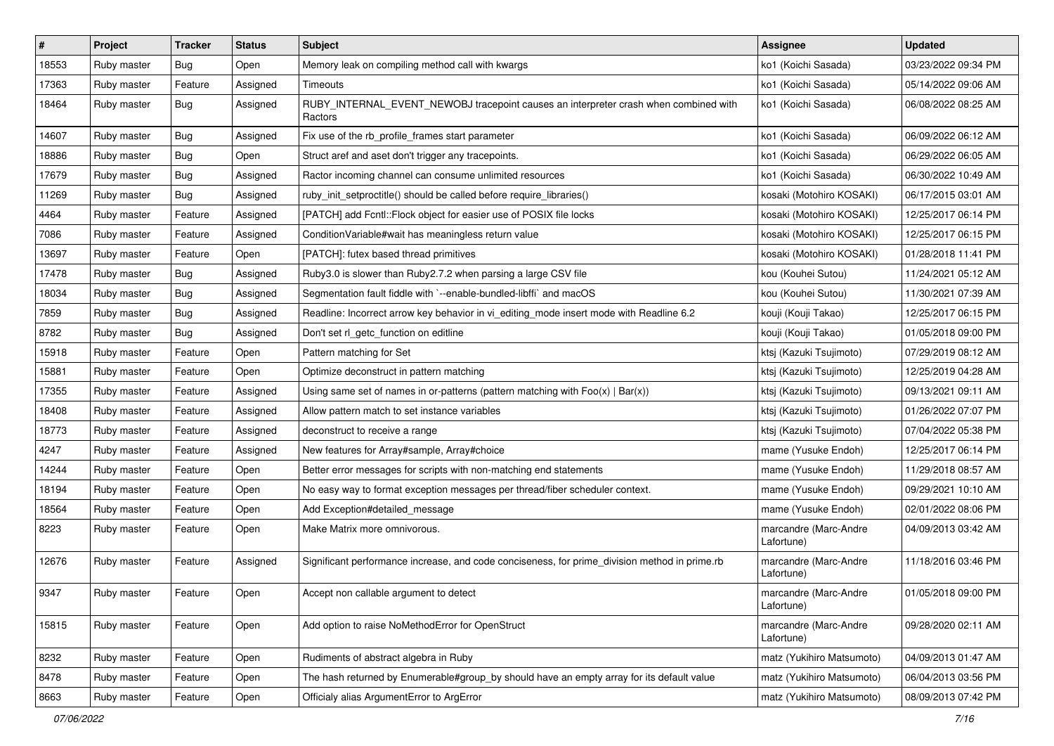| $\vert$ # | Project     | <b>Tracker</b> | <b>Status</b> | Subject                                                                                         | <b>Assignee</b>                     | <b>Updated</b>      |
|-----------|-------------|----------------|---------------|-------------------------------------------------------------------------------------------------|-------------------------------------|---------------------|
| 18553     | Ruby master | <b>Bug</b>     | Open          | Memory leak on compiling method call with kwargs                                                | ko1 (Koichi Sasada)                 | 03/23/2022 09:34 PM |
| 17363     | Ruby master | Feature        | Assigned      | Timeouts                                                                                        | ko1 (Koichi Sasada)                 | 05/14/2022 09:06 AM |
| 18464     | Ruby master | Bug            | Assigned      | RUBY_INTERNAL_EVENT_NEWOBJ tracepoint causes an interpreter crash when combined with<br>Ractors | ko1 (Koichi Sasada)                 | 06/08/2022 08:25 AM |
| 14607     | Ruby master | Bug            | Assigned      | Fix use of the rb_profile_frames start parameter                                                | ko1 (Koichi Sasada)                 | 06/09/2022 06:12 AM |
| 18886     | Ruby master | Bug            | Open          | Struct aref and aset don't trigger any tracepoints.                                             | ko1 (Koichi Sasada)                 | 06/29/2022 06:05 AM |
| 17679     | Ruby master | Bug            | Assigned      | Ractor incoming channel can consume unlimited resources                                         | ko1 (Koichi Sasada)                 | 06/30/2022 10:49 AM |
| 11269     | Ruby master | Bug            | Assigned      | ruby_init_setproctitle() should be called before require_libraries()                            | kosaki (Motohiro KOSAKI)            | 06/17/2015 03:01 AM |
| 4464      | Ruby master | Feature        | Assigned      | [PATCH] add Fcntl::Flock object for easier use of POSIX file locks                              | kosaki (Motohiro KOSAKI)            | 12/25/2017 06:14 PM |
| 7086      | Ruby master | Feature        | Assigned      | ConditionVariable#wait has meaningless return value                                             | kosaki (Motohiro KOSAKI)            | 12/25/2017 06:15 PM |
| 13697     | Ruby master | Feature        | Open          | [PATCH]: futex based thread primitives                                                          | kosaki (Motohiro KOSAKI)            | 01/28/2018 11:41 PM |
| 17478     | Ruby master | Bug            | Assigned      | Ruby3.0 is slower than Ruby2.7.2 when parsing a large CSV file                                  | kou (Kouhei Sutou)                  | 11/24/2021 05:12 AM |
| 18034     | Ruby master | Bug            | Assigned      | Segmentation fault fiddle with `--enable-bundled-libffi` and macOS                              | kou (Kouhei Sutou)                  | 11/30/2021 07:39 AM |
| 7859      | Ruby master | Bug            | Assigned      | Readline: Incorrect arrow key behavior in vi_editing_mode insert mode with Readline 6.2         | kouji (Kouji Takao)                 | 12/25/2017 06:15 PM |
| 8782      | Ruby master | <b>Bug</b>     | Assigned      | Don't set rl_getc_function on editline                                                          | kouji (Kouji Takao)                 | 01/05/2018 09:00 PM |
| 15918     | Ruby master | Feature        | Open          | Pattern matching for Set                                                                        | ktsj (Kazuki Tsujimoto)             | 07/29/2019 08:12 AM |
| 15881     | Ruby master | Feature        | Open          | Optimize deconstruct in pattern matching                                                        | ktsj (Kazuki Tsujimoto)             | 12/25/2019 04:28 AM |
| 17355     | Ruby master | Feature        | Assigned      | Using same set of names in or-patterns (pattern matching with $Foo(x)   Bar(x)$ )               | ktsj (Kazuki Tsujimoto)             | 09/13/2021 09:11 AM |
| 18408     | Ruby master | Feature        | Assigned      | Allow pattern match to set instance variables                                                   | ktsj (Kazuki Tsujimoto)             | 01/26/2022 07:07 PM |
| 18773     | Ruby master | Feature        | Assigned      | deconstruct to receive a range                                                                  | ktsj (Kazuki Tsujimoto)             | 07/04/2022 05:38 PM |
| 4247      | Ruby master | Feature        | Assigned      | New features for Array#sample, Array#choice                                                     | mame (Yusuke Endoh)                 | 12/25/2017 06:14 PM |
| 14244     | Ruby master | Feature        | Open          | Better error messages for scripts with non-matching end statements                              | mame (Yusuke Endoh)                 | 11/29/2018 08:57 AM |
| 18194     | Ruby master | Feature        | Open          | No easy way to format exception messages per thread/fiber scheduler context.                    | mame (Yusuke Endoh)                 | 09/29/2021 10:10 AM |
| 18564     | Ruby master | Feature        | Open          | Add Exception#detailed_message                                                                  | mame (Yusuke Endoh)                 | 02/01/2022 08:06 PM |
| 8223      | Ruby master | Feature        | Open          | Make Matrix more omnivorous.                                                                    | marcandre (Marc-Andre<br>Lafortune) | 04/09/2013 03:42 AM |
| 12676     | Ruby master | Feature        | Assigned      | Significant performance increase, and code conciseness, for prime_division method in prime.rb   | marcandre (Marc-Andre<br>Lafortune) | 11/18/2016 03:46 PM |
| 9347      | Ruby master | Feature        | Open          | Accept non callable argument to detect                                                          | marcandre (Marc-Andre<br>Lafortune) | 01/05/2018 09:00 PM |
| 15815     | Ruby master | Feature        | Open          | Add option to raise NoMethodError for OpenStruct                                                | marcandre (Marc-Andre<br>Lafortune) | 09/28/2020 02:11 AM |
| 8232      | Ruby master | Feature        | Open          | Rudiments of abstract algebra in Ruby                                                           | matz (Yukihiro Matsumoto)           | 04/09/2013 01:47 AM |
| 8478      | Ruby master | Feature        | Open          | The hash returned by Enumerable#group_by should have an empty array for its default value       | matz (Yukihiro Matsumoto)           | 06/04/2013 03:56 PM |
| 8663      | Ruby master | Feature        | Open          | Officialy alias ArgumentError to ArgError                                                       | matz (Yukihiro Matsumoto)           | 08/09/2013 07:42 PM |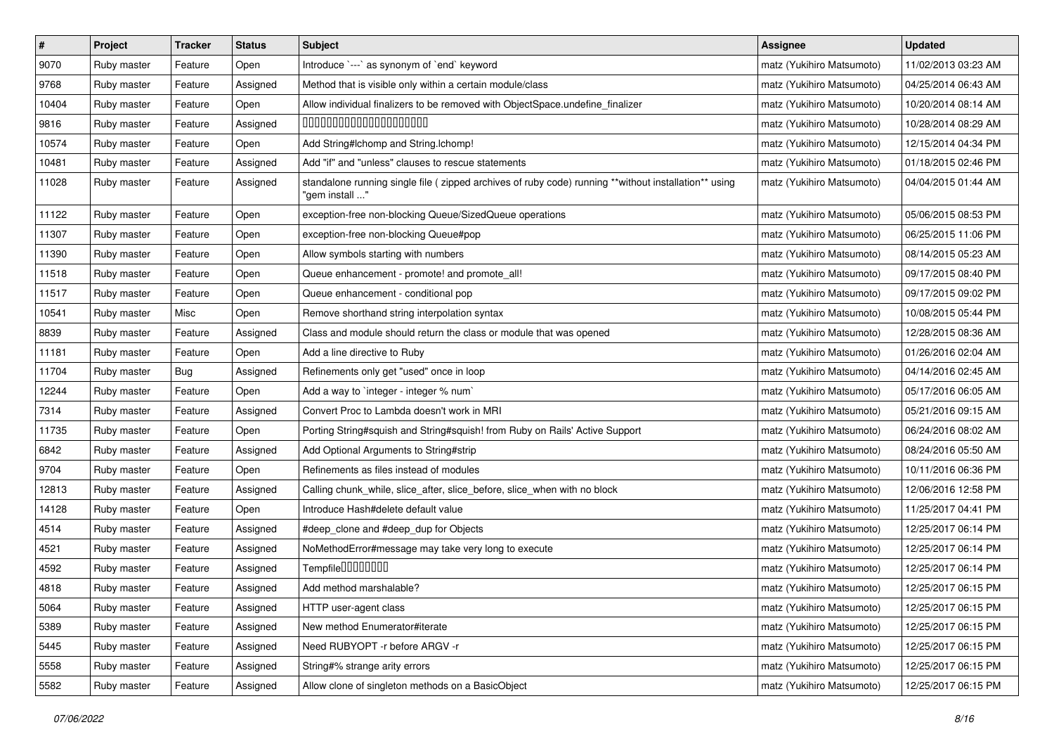| $\pmb{\#}$ | Project     | <b>Tracker</b> | <b>Status</b> | <b>Subject</b>                                                                                                         | <b>Assignee</b>           | <b>Updated</b>      |
|------------|-------------|----------------|---------------|------------------------------------------------------------------------------------------------------------------------|---------------------------|---------------------|
| 9070       | Ruby master | Feature        | Open          | Introduce `---` as synonym of `end` keyword                                                                            | matz (Yukihiro Matsumoto) | 11/02/2013 03:23 AM |
| 9768       | Ruby master | Feature        | Assigned      | Method that is visible only within a certain module/class                                                              | matz (Yukihiro Matsumoto) | 04/25/2014 06:43 AM |
| 10404      | Ruby master | Feature        | Open          | Allow individual finalizers to be removed with ObjectSpace.undefine_finalizer                                          | matz (Yukihiro Matsumoto) | 10/20/2014 08:14 AM |
| 9816       | Ruby master | Feature        | Assigned      | 00000000000000000000                                                                                                   | matz (Yukihiro Matsumoto) | 10/28/2014 08:29 AM |
| 10574      | Ruby master | Feature        | Open          | Add String#Ichomp and String.Ichomp!                                                                                   | matz (Yukihiro Matsumoto) | 12/15/2014 04:34 PM |
| 10481      | Ruby master | Feature        | Assigned      | Add "if" and "unless" clauses to rescue statements                                                                     | matz (Yukihiro Matsumoto) | 01/18/2015 02:46 PM |
| 11028      | Ruby master | Feature        | Assigned      | standalone running single file (zipped archives of ruby code) running **without installation** using<br>"gem install " | matz (Yukihiro Matsumoto) | 04/04/2015 01:44 AM |
| 11122      | Ruby master | Feature        | Open          | exception-free non-blocking Queue/SizedQueue operations                                                                | matz (Yukihiro Matsumoto) | 05/06/2015 08:53 PM |
| 11307      | Ruby master | Feature        | Open          | exception-free non-blocking Queue#pop                                                                                  | matz (Yukihiro Matsumoto) | 06/25/2015 11:06 PM |
| 11390      | Ruby master | Feature        | Open          | Allow symbols starting with numbers                                                                                    | matz (Yukihiro Matsumoto) | 08/14/2015 05:23 AM |
| 11518      | Ruby master | Feature        | Open          | Queue enhancement - promote! and promote_all!                                                                          | matz (Yukihiro Matsumoto) | 09/17/2015 08:40 PM |
| 11517      | Ruby master | Feature        | Open          | Queue enhancement - conditional pop                                                                                    | matz (Yukihiro Matsumoto) | 09/17/2015 09:02 PM |
| 10541      | Ruby master | Misc           | Open          | Remove shorthand string interpolation syntax                                                                           | matz (Yukihiro Matsumoto) | 10/08/2015 05:44 PM |
| 8839       | Ruby master | Feature        | Assigned      | Class and module should return the class or module that was opened                                                     | matz (Yukihiro Matsumoto) | 12/28/2015 08:36 AM |
| 11181      | Ruby master | Feature        | Open          | Add a line directive to Ruby                                                                                           | matz (Yukihiro Matsumoto) | 01/26/2016 02:04 AM |
| 11704      | Ruby master | Bug            | Assigned      | Refinements only get "used" once in loop                                                                               | matz (Yukihiro Matsumoto) | 04/14/2016 02:45 AM |
| 12244      | Ruby master | Feature        | Open          | Add a way to `integer - integer % num`                                                                                 | matz (Yukihiro Matsumoto) | 05/17/2016 06:05 AM |
| 7314       | Ruby master | Feature        | Assigned      | Convert Proc to Lambda doesn't work in MRI                                                                             | matz (Yukihiro Matsumoto) | 05/21/2016 09:15 AM |
| 11735      | Ruby master | Feature        | Open          | Porting String#squish and String#squish! from Ruby on Rails' Active Support                                            | matz (Yukihiro Matsumoto) | 06/24/2016 08:02 AM |
| 6842       | Ruby master | Feature        | Assigned      | Add Optional Arguments to String#strip                                                                                 | matz (Yukihiro Matsumoto) | 08/24/2016 05:50 AM |
| 9704       | Ruby master | Feature        | Open          | Refinements as files instead of modules                                                                                | matz (Yukihiro Matsumoto) | 10/11/2016 06:36 PM |
| 12813      | Ruby master | Feature        | Assigned      | Calling chunk_while, slice_after, slice_before, slice_when with no block                                               | matz (Yukihiro Matsumoto) | 12/06/2016 12:58 PM |
| 14128      | Ruby master | Feature        | Open          | Introduce Hash#delete default value                                                                                    | matz (Yukihiro Matsumoto) | 11/25/2017 04:41 PM |
| 4514       | Ruby master | Feature        | Assigned      | #deep_clone and #deep_dup for Objects                                                                                  | matz (Yukihiro Matsumoto) | 12/25/2017 06:14 PM |
| 4521       | Ruby master | Feature        | Assigned      | NoMethodError#message may take very long to execute                                                                    | matz (Yukihiro Matsumoto) | 12/25/2017 06:14 PM |
| 4592       | Ruby master | Feature        | Assigned      | Tempfile0000000                                                                                                        | matz (Yukihiro Matsumoto) | 12/25/2017 06:14 PM |
| 4818       | Ruby master | Feature        | Assigned      | Add method marshalable?                                                                                                | matz (Yukihiro Matsumoto) | 12/25/2017 06:15 PM |
| 5064       | Ruby master | Feature        | Assigned      | HTTP user-agent class                                                                                                  | matz (Yukihiro Matsumoto) | 12/25/2017 06:15 PM |
| 5389       | Ruby master | Feature        | Assigned      | New method Enumerator#iterate                                                                                          | matz (Yukihiro Matsumoto) | 12/25/2017 06:15 PM |
| 5445       | Ruby master | Feature        | Assigned      | Need RUBYOPT - r before ARGV - r                                                                                       | matz (Yukihiro Matsumoto) | 12/25/2017 06:15 PM |
| 5558       | Ruby master | Feature        | Assigned      | String#% strange arity errors                                                                                          | matz (Yukihiro Matsumoto) | 12/25/2017 06:15 PM |
| 5582       | Ruby master | Feature        | Assigned      | Allow clone of singleton methods on a BasicObject                                                                      | matz (Yukihiro Matsumoto) | 12/25/2017 06:15 PM |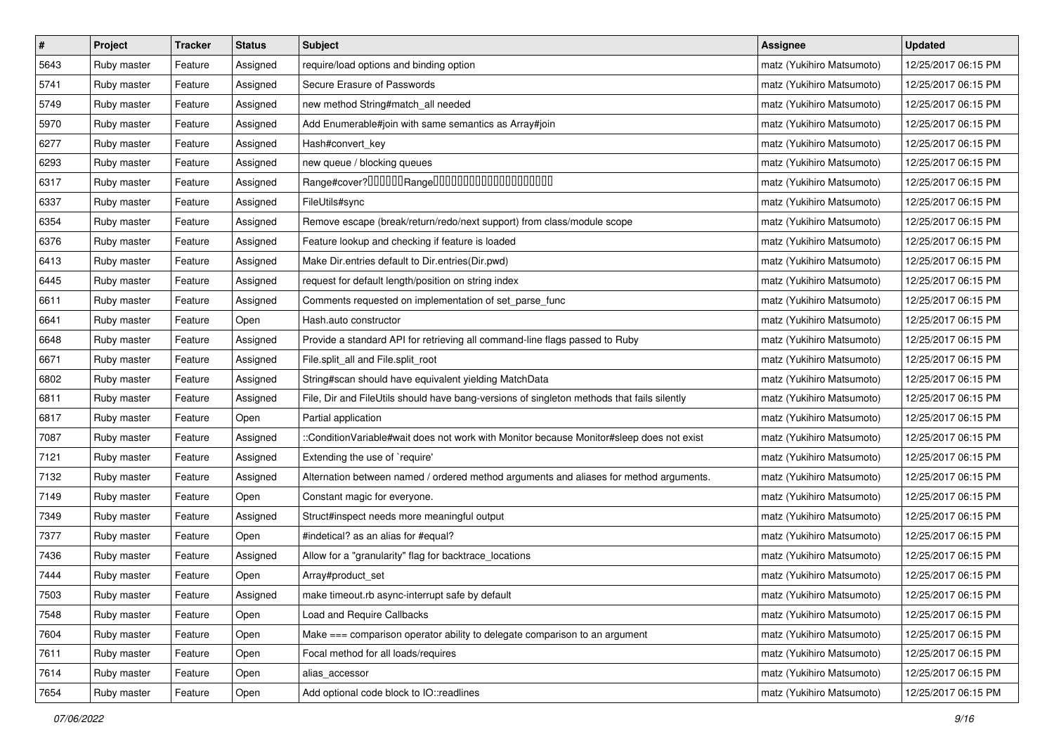| $\pmb{\#}$ | Project     | <b>Tracker</b> | <b>Status</b> | <b>Subject</b>                                                                             | <b>Assignee</b>           | <b>Updated</b>      |
|------------|-------------|----------------|---------------|--------------------------------------------------------------------------------------------|---------------------------|---------------------|
| 5643       | Ruby master | Feature        | Assigned      | require/load options and binding option                                                    | matz (Yukihiro Matsumoto) | 12/25/2017 06:15 PM |
| 5741       | Ruby master | Feature        | Assigned      | Secure Erasure of Passwords                                                                | matz (Yukihiro Matsumoto) | 12/25/2017 06:15 PM |
| 5749       | Ruby master | Feature        | Assigned      | new method String#match_all needed                                                         | matz (Yukihiro Matsumoto) | 12/25/2017 06:15 PM |
| 5970       | Ruby master | Feature        | Assigned      | Add Enumerable#join with same semantics as Array#join                                      | matz (Yukihiro Matsumoto) | 12/25/2017 06:15 PM |
| 6277       | Ruby master | Feature        | Assigned      | Hash#convert_key                                                                           | matz (Yukihiro Matsumoto) | 12/25/2017 06:15 PM |
| 6293       | Ruby master | Feature        | Assigned      | new queue / blocking queues                                                                | matz (Yukihiro Matsumoto) | 12/25/2017 06:15 PM |
| 6317       | Ruby master | Feature        | Assigned      |                                                                                            | matz (Yukihiro Matsumoto) | 12/25/2017 06:15 PM |
| 6337       | Ruby master | Feature        | Assigned      | FileUtils#sync                                                                             | matz (Yukihiro Matsumoto) | 12/25/2017 06:15 PM |
| 6354       | Ruby master | Feature        | Assigned      | Remove escape (break/return/redo/next support) from class/module scope                     | matz (Yukihiro Matsumoto) | 12/25/2017 06:15 PM |
| 6376       | Ruby master | Feature        | Assigned      | Feature lookup and checking if feature is loaded                                           | matz (Yukihiro Matsumoto) | 12/25/2017 06:15 PM |
| 6413       | Ruby master | Feature        | Assigned      | Make Dir.entries default to Dir.entries(Dir.pwd)                                           | matz (Yukihiro Matsumoto) | 12/25/2017 06:15 PM |
| 6445       | Ruby master | Feature        | Assigned      | request for default length/position on string index                                        | matz (Yukihiro Matsumoto) | 12/25/2017 06:15 PM |
| 6611       | Ruby master | Feature        | Assigned      | Comments requested on implementation of set_parse_func                                     | matz (Yukihiro Matsumoto) | 12/25/2017 06:15 PM |
| 6641       | Ruby master | Feature        | Open          | Hash.auto constructor                                                                      | matz (Yukihiro Matsumoto) | 12/25/2017 06:15 PM |
| 6648       | Ruby master | Feature        | Assigned      | Provide a standard API for retrieving all command-line flags passed to Ruby                | matz (Yukihiro Matsumoto) | 12/25/2017 06:15 PM |
| 6671       | Ruby master | Feature        | Assigned      | File.split_all and File.split_root                                                         | matz (Yukihiro Matsumoto) | 12/25/2017 06:15 PM |
| 6802       | Ruby master | Feature        | Assigned      | String#scan should have equivalent yielding MatchData                                      | matz (Yukihiro Matsumoto) | 12/25/2017 06:15 PM |
| 6811       | Ruby master | Feature        | Assigned      | File, Dir and FileUtils should have bang-versions of singleton methods that fails silently | matz (Yukihiro Matsumoto) | 12/25/2017 06:15 PM |
| 6817       | Ruby master | Feature        | Open          | Partial application                                                                        | matz (Yukihiro Matsumoto) | 12/25/2017 06:15 PM |
| 7087       | Ruby master | Feature        | Assigned      | ::ConditionVariable#wait does not work with Monitor because Monitor#sleep does not exist   | matz (Yukihiro Matsumoto) | 12/25/2017 06:15 PM |
| 7121       | Ruby master | Feature        | Assigned      | Extending the use of `require'                                                             | matz (Yukihiro Matsumoto) | 12/25/2017 06:15 PM |
| 7132       | Ruby master | Feature        | Assigned      | Alternation between named / ordered method arguments and aliases for method arguments.     | matz (Yukihiro Matsumoto) | 12/25/2017 06:15 PM |
| 7149       | Ruby master | Feature        | Open          | Constant magic for everyone.                                                               | matz (Yukihiro Matsumoto) | 12/25/2017 06:15 PM |
| 7349       | Ruby master | Feature        | Assigned      | Struct#inspect needs more meaningful output                                                | matz (Yukihiro Matsumoto) | 12/25/2017 06:15 PM |
| 7377       | Ruby master | Feature        | Open          | #indetical? as an alias for #equal?                                                        | matz (Yukihiro Matsumoto) | 12/25/2017 06:15 PM |
| 7436       | Ruby master | Feature        | Assigned      | Allow for a "granularity" flag for backtrace_locations                                     | matz (Yukihiro Matsumoto) | 12/25/2017 06:15 PM |
| 7444       | Ruby master | Feature        | Open          | Array#product_set                                                                          | matz (Yukihiro Matsumoto) | 12/25/2017 06:15 PM |
| 7503       | Ruby master | Feature        | Assigned      | make timeout.rb async-interrupt safe by default                                            | matz (Yukihiro Matsumoto) | 12/25/2017 06:15 PM |
| 7548       | Ruby master | Feature        | Open          | Load and Require Callbacks                                                                 | matz (Yukihiro Matsumoto) | 12/25/2017 06:15 PM |
| 7604       | Ruby master | Feature        | Open          | Make === comparison operator ability to delegate comparison to an argument                 | matz (Yukihiro Matsumoto) | 12/25/2017 06:15 PM |
| 7611       | Ruby master | Feature        | Open          | Focal method for all loads/requires                                                        | matz (Yukihiro Matsumoto) | 12/25/2017 06:15 PM |
| 7614       | Ruby master | Feature        | Open          | alias_accessor                                                                             | matz (Yukihiro Matsumoto) | 12/25/2017 06:15 PM |
| 7654       | Ruby master | Feature        | Open          | Add optional code block to IO::readlines                                                   | matz (Yukihiro Matsumoto) | 12/25/2017 06:15 PM |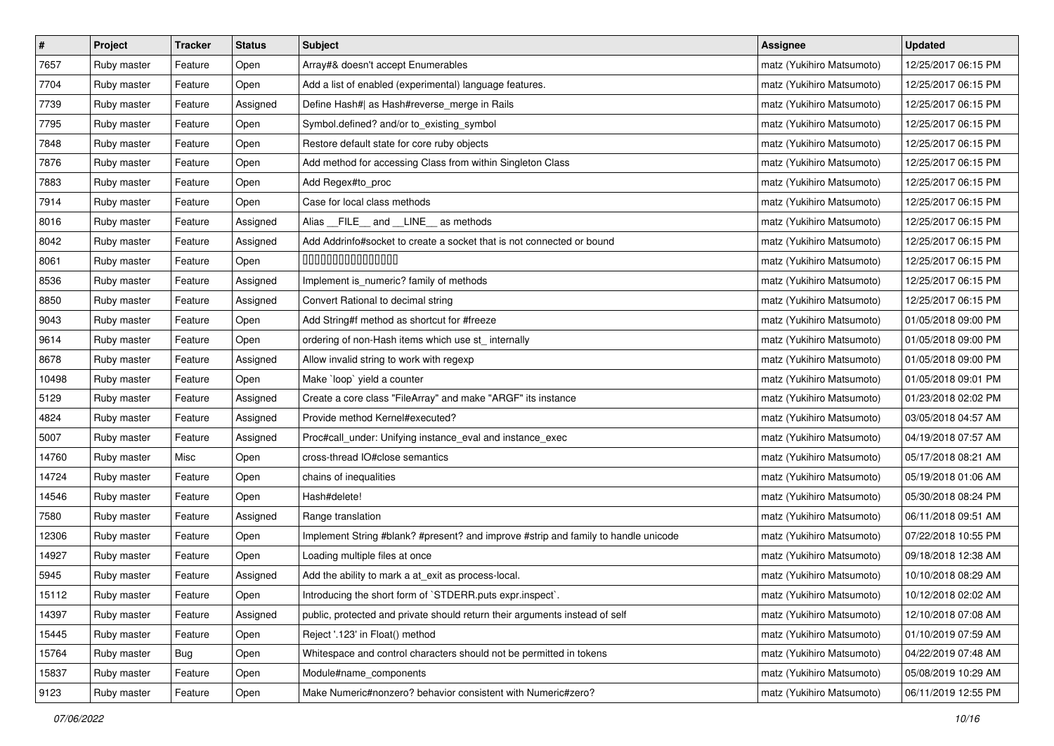| $\pmb{\#}$ | Project     | <b>Tracker</b> | <b>Status</b> | <b>Subject</b>                                                                     | <b>Assignee</b>           | <b>Updated</b>      |
|------------|-------------|----------------|---------------|------------------------------------------------------------------------------------|---------------------------|---------------------|
| 7657       | Ruby master | Feature        | Open          | Array#& doesn't accept Enumerables                                                 | matz (Yukihiro Matsumoto) | 12/25/2017 06:15 PM |
| 7704       | Ruby master | Feature        | Open          | Add a list of enabled (experimental) language features.                            | matz (Yukihiro Matsumoto) | 12/25/2017 06:15 PM |
| 7739       | Ruby master | Feature        | Assigned      | Define Hash#  as Hash#reverse_merge in Rails                                       | matz (Yukihiro Matsumoto) | 12/25/2017 06:15 PM |
| 7795       | Ruby master | Feature        | Open          | Symbol.defined? and/or to_existing_symbol                                          | matz (Yukihiro Matsumoto) | 12/25/2017 06:15 PM |
| 7848       | Ruby master | Feature        | Open          | Restore default state for core ruby objects                                        | matz (Yukihiro Matsumoto) | 12/25/2017 06:15 PM |
| 7876       | Ruby master | Feature        | Open          | Add method for accessing Class from within Singleton Class                         | matz (Yukihiro Matsumoto) | 12/25/2017 06:15 PM |
| 7883       | Ruby master | Feature        | Open          | Add Regex#to_proc                                                                  | matz (Yukihiro Matsumoto) | 12/25/2017 06:15 PM |
| 7914       | Ruby master | Feature        | Open          | Case for local class methods                                                       | matz (Yukihiro Matsumoto) | 12/25/2017 06:15 PM |
| 8016       | Ruby master | Feature        | Assigned      | Alias _FILE_ and _LINE_ as methods                                                 | matz (Yukihiro Matsumoto) | 12/25/2017 06:15 PM |
| 8042       | Ruby master | Feature        | Assigned      | Add Addrinfo#socket to create a socket that is not connected or bound              | matz (Yukihiro Matsumoto) | 12/25/2017 06:15 PM |
| 8061       | Ruby master | Feature        | Open          | 000000000000000                                                                    | matz (Yukihiro Matsumoto) | 12/25/2017 06:15 PM |
| 8536       | Ruby master | Feature        | Assigned      | Implement is_numeric? family of methods                                            | matz (Yukihiro Matsumoto) | 12/25/2017 06:15 PM |
| 8850       | Ruby master | Feature        | Assigned      | Convert Rational to decimal string                                                 | matz (Yukihiro Matsumoto) | 12/25/2017 06:15 PM |
| 9043       | Ruby master | Feature        | Open          | Add String#f method as shortcut for #freeze                                        | matz (Yukihiro Matsumoto) | 01/05/2018 09:00 PM |
| 9614       | Ruby master | Feature        | Open          | ordering of non-Hash items which use st_ internally                                | matz (Yukihiro Matsumoto) | 01/05/2018 09:00 PM |
| 8678       | Ruby master | Feature        | Assigned      | Allow invalid string to work with regexp                                           | matz (Yukihiro Matsumoto) | 01/05/2018 09:00 PM |
| 10498      | Ruby master | Feature        | Open          | Make 'loop' yield a counter                                                        | matz (Yukihiro Matsumoto) | 01/05/2018 09:01 PM |
| 5129       | Ruby master | Feature        | Assigned      | Create a core class "FileArray" and make "ARGF" its instance                       | matz (Yukihiro Matsumoto) | 01/23/2018 02:02 PM |
| 4824       | Ruby master | Feature        | Assigned      | Provide method Kernel#executed?                                                    | matz (Yukihiro Matsumoto) | 03/05/2018 04:57 AM |
| 5007       | Ruby master | Feature        | Assigned      | Proc#call_under: Unifying instance_eval and instance_exec                          | matz (Yukihiro Matsumoto) | 04/19/2018 07:57 AM |
| 14760      | Ruby master | Misc           | Open          | cross-thread IO#close semantics                                                    | matz (Yukihiro Matsumoto) | 05/17/2018 08:21 AM |
| 14724      | Ruby master | Feature        | Open          | chains of inequalities                                                             | matz (Yukihiro Matsumoto) | 05/19/2018 01:06 AM |
| 14546      | Ruby master | Feature        | Open          | Hash#delete!                                                                       | matz (Yukihiro Matsumoto) | 05/30/2018 08:24 PM |
| 7580       | Ruby master | Feature        | Assigned      | Range translation                                                                  | matz (Yukihiro Matsumoto) | 06/11/2018 09:51 AM |
| 12306      | Ruby master | Feature        | Open          | Implement String #blank? #present? and improve #strip and family to handle unicode | matz (Yukihiro Matsumoto) | 07/22/2018 10:55 PM |
| 14927      | Ruby master | Feature        | Open          | Loading multiple files at once                                                     | matz (Yukihiro Matsumoto) | 09/18/2018 12:38 AM |
| 5945       | Ruby master | Feature        | Assigned      | Add the ability to mark a at_exit as process-local.                                | matz (Yukihiro Matsumoto) | 10/10/2018 08:29 AM |
| 15112      | Ruby master | Feature        | Open          | Introducing the short form of `STDERR.puts expr.inspect`.                          | matz (Yukihiro Matsumoto) | 10/12/2018 02:02 AM |
| 14397      | Ruby master | Feature        | Assigned      | public, protected and private should return their arguments instead of self        | matz (Yukihiro Matsumoto) | 12/10/2018 07:08 AM |
| 15445      | Ruby master | Feature        | Open          | Reject '.123' in Float() method                                                    | matz (Yukihiro Matsumoto) | 01/10/2019 07:59 AM |
| 15764      | Ruby master | <b>Bug</b>     | Open          | Whitespace and control characters should not be permitted in tokens                | matz (Yukihiro Matsumoto) | 04/22/2019 07:48 AM |
| 15837      | Ruby master | Feature        | Open          | Module#name_components                                                             | matz (Yukihiro Matsumoto) | 05/08/2019 10:29 AM |
| 9123       | Ruby master | Feature        | Open          | Make Numeric#nonzero? behavior consistent with Numeric#zero?                       | matz (Yukihiro Matsumoto) | 06/11/2019 12:55 PM |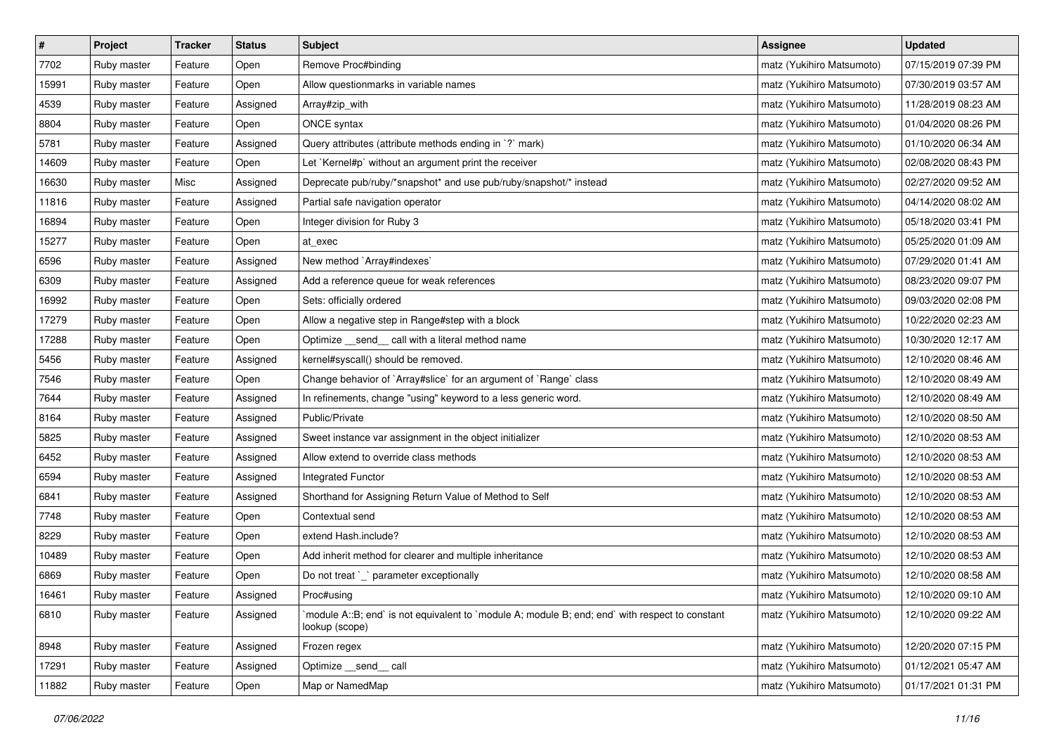| $\pmb{\#}$ | Project     | <b>Tracker</b> | <b>Status</b> | <b>Subject</b>                                                                                                   | <b>Assignee</b>           | <b>Updated</b>      |
|------------|-------------|----------------|---------------|------------------------------------------------------------------------------------------------------------------|---------------------------|---------------------|
| 7702       | Ruby master | Feature        | Open          | Remove Proc#binding                                                                                              | matz (Yukihiro Matsumoto) | 07/15/2019 07:39 PM |
| 15991      | Ruby master | Feature        | Open          | Allow questionmarks in variable names                                                                            | matz (Yukihiro Matsumoto) | 07/30/2019 03:57 AM |
| 4539       | Ruby master | Feature        | Assigned      | Array#zip_with                                                                                                   | matz (Yukihiro Matsumoto) | 11/28/2019 08:23 AM |
| 8804       | Ruby master | Feature        | Open          | ONCE syntax                                                                                                      | matz (Yukihiro Matsumoto) | 01/04/2020 08:26 PM |
| 5781       | Ruby master | Feature        | Assigned      | Query attributes (attribute methods ending in `?` mark)                                                          | matz (Yukihiro Matsumoto) | 01/10/2020 06:34 AM |
| 14609      | Ruby master | Feature        | Open          | Let `Kernel#p` without an argument print the receiver                                                            | matz (Yukihiro Matsumoto) | 02/08/2020 08:43 PM |
| 16630      | Ruby master | Misc           | Assigned      | Deprecate pub/ruby/*snapshot* and use pub/ruby/snapshot/* instead                                                | matz (Yukihiro Matsumoto) | 02/27/2020 09:52 AM |
| 11816      | Ruby master | Feature        | Assigned      | Partial safe navigation operator                                                                                 | matz (Yukihiro Matsumoto) | 04/14/2020 08:02 AM |
| 16894      | Ruby master | Feature        | Open          | Integer division for Ruby 3                                                                                      | matz (Yukihiro Matsumoto) | 05/18/2020 03:41 PM |
| 15277      | Ruby master | Feature        | Open          | at_exec                                                                                                          | matz (Yukihiro Matsumoto) | 05/25/2020 01:09 AM |
| 6596       | Ruby master | Feature        | Assigned      | New method `Array#indexes`                                                                                       | matz (Yukihiro Matsumoto) | 07/29/2020 01:41 AM |
| 6309       | Ruby master | Feature        | Assigned      | Add a reference queue for weak references                                                                        | matz (Yukihiro Matsumoto) | 08/23/2020 09:07 PM |
| 16992      | Ruby master | Feature        | Open          | Sets: officially ordered                                                                                         | matz (Yukihiro Matsumoto) | 09/03/2020 02:08 PM |
| 17279      | Ruby master | Feature        | Open          | Allow a negative step in Range#step with a block                                                                 | matz (Yukihiro Matsumoto) | 10/22/2020 02:23 AM |
| 17288      | Ruby master | Feature        | Open          | Optimize _send_ call with a literal method name                                                                  | matz (Yukihiro Matsumoto) | 10/30/2020 12:17 AM |
| 5456       | Ruby master | Feature        | Assigned      | kernel#syscall() should be removed.                                                                              | matz (Yukihiro Matsumoto) | 12/10/2020 08:46 AM |
| 7546       | Ruby master | Feature        | Open          | Change behavior of `Array#slice` for an argument of `Range` class                                                | matz (Yukihiro Matsumoto) | 12/10/2020 08:49 AM |
| 7644       | Ruby master | Feature        | Assigned      | In refinements, change "using" keyword to a less generic word.                                                   | matz (Yukihiro Matsumoto) | 12/10/2020 08:49 AM |
| 8164       | Ruby master | Feature        | Assigned      | Public/Private                                                                                                   | matz (Yukihiro Matsumoto) | 12/10/2020 08:50 AM |
| 5825       | Ruby master | Feature        | Assigned      | Sweet instance var assignment in the object initializer                                                          | matz (Yukihiro Matsumoto) | 12/10/2020 08:53 AM |
| 6452       | Ruby master | Feature        | Assigned      | Allow extend to override class methods                                                                           | matz (Yukihiro Matsumoto) | 12/10/2020 08:53 AM |
| 6594       | Ruby master | Feature        | Assigned      | Integrated Functor                                                                                               | matz (Yukihiro Matsumoto) | 12/10/2020 08:53 AM |
| 6841       | Ruby master | Feature        | Assigned      | Shorthand for Assigning Return Value of Method to Self                                                           | matz (Yukihiro Matsumoto) | 12/10/2020 08:53 AM |
| 7748       | Ruby master | Feature        | Open          | Contextual send                                                                                                  | matz (Yukihiro Matsumoto) | 12/10/2020 08:53 AM |
| 8229       | Ruby master | Feature        | Open          | extend Hash.include?                                                                                             | matz (Yukihiro Matsumoto) | 12/10/2020 08:53 AM |
| 10489      | Ruby master | Feature        | Open          | Add inherit method for clearer and multiple inheritance                                                          | matz (Yukihiro Matsumoto) | 12/10/2020 08:53 AM |
| 6869       | Ruby master | Feature        | Open          | Do not treat `_` parameter exceptionally                                                                         | matz (Yukihiro Matsumoto) | 12/10/2020 08:58 AM |
| 16461      | Ruby master | Feature        | Assigned      | Proc#using                                                                                                       | matz (Yukihiro Matsumoto) | 12/10/2020 09:10 AM |
| 6810       | Ruby master | Feature        | Assigned      | module A::B; end` is not equivalent to `module A; module B; end; end` with respect to constant<br>lookup (scope) | matz (Yukihiro Matsumoto) | 12/10/2020 09:22 AM |
| 8948       | Ruby master | Feature        | Assigned      | Frozen regex                                                                                                     | matz (Yukihiro Matsumoto) | 12/20/2020 07:15 PM |
| 17291      | Ruby master | Feature        | Assigned      | Optimize __send__ call                                                                                           | matz (Yukihiro Matsumoto) | 01/12/2021 05:47 AM |
| 11882      | Ruby master | Feature        | Open          | Map or NamedMap                                                                                                  | matz (Yukihiro Matsumoto) | 01/17/2021 01:31 PM |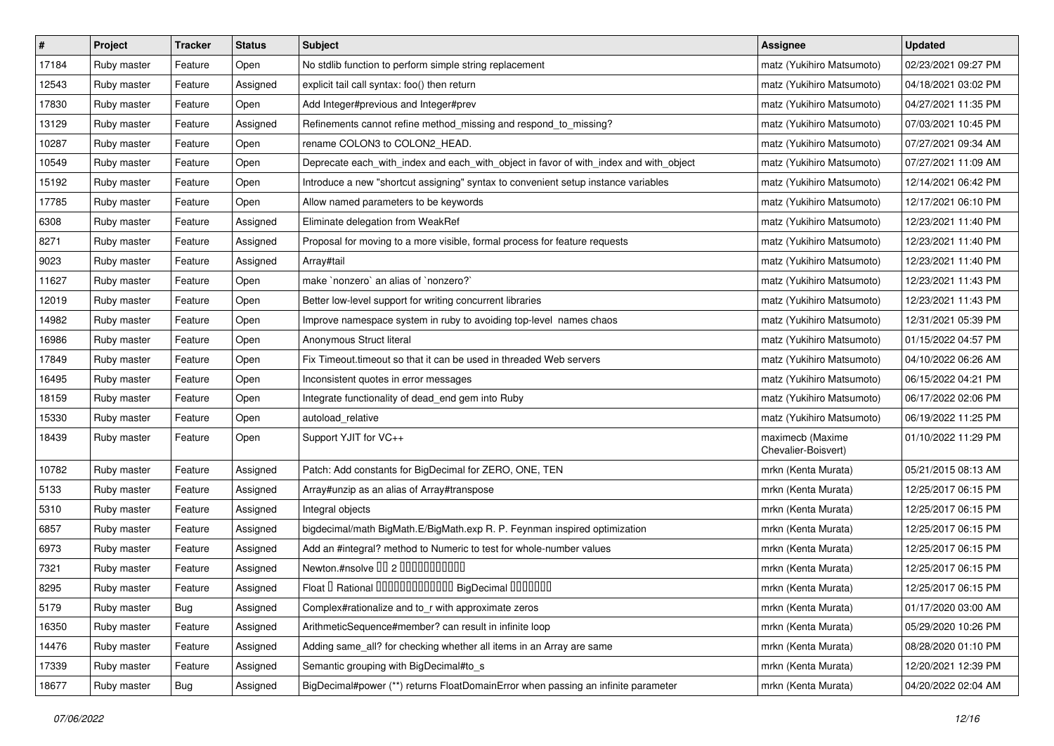| $\vert$ # | Project     | <b>Tracker</b> | <b>Status</b> | Subject                                                                               | Assignee                                | <b>Updated</b>      |
|-----------|-------------|----------------|---------------|---------------------------------------------------------------------------------------|-----------------------------------------|---------------------|
| 17184     | Ruby master | Feature        | Open          | No stdlib function to perform simple string replacement                               | matz (Yukihiro Matsumoto)               | 02/23/2021 09:27 PM |
| 12543     | Ruby master | Feature        | Assigned      | explicit tail call syntax: foo() then return                                          | matz (Yukihiro Matsumoto)               | 04/18/2021 03:02 PM |
| 17830     | Ruby master | Feature        | Open          | Add Integer#previous and Integer#prev                                                 | matz (Yukihiro Matsumoto)               | 04/27/2021 11:35 PM |
| 13129     | Ruby master | Feature        | Assigned      | Refinements cannot refine method_missing and respond_to_missing?                      | matz (Yukihiro Matsumoto)               | 07/03/2021 10:45 PM |
| 10287     | Ruby master | Feature        | Open          | rename COLON3 to COLON2_HEAD.                                                         | matz (Yukihiro Matsumoto)               | 07/27/2021 09:34 AM |
| 10549     | Ruby master | Feature        | Open          | Deprecate each_with_index and each_with_object in favor of with_index and with_object | matz (Yukihiro Matsumoto)               | 07/27/2021 11:09 AM |
| 15192     | Ruby master | Feature        | Open          | Introduce a new "shortcut assigning" syntax to convenient setup instance variables    | matz (Yukihiro Matsumoto)               | 12/14/2021 06:42 PM |
| 17785     | Ruby master | Feature        | Open          | Allow named parameters to be keywords                                                 | matz (Yukihiro Matsumoto)               | 12/17/2021 06:10 PM |
| 6308      | Ruby master | Feature        | Assigned      | Eliminate delegation from WeakRef                                                     | matz (Yukihiro Matsumoto)               | 12/23/2021 11:40 PM |
| 8271      | Ruby master | Feature        | Assigned      | Proposal for moving to a more visible, formal process for feature requests            | matz (Yukihiro Matsumoto)               | 12/23/2021 11:40 PM |
| 9023      | Ruby master | Feature        | Assigned      | Array#tail                                                                            | matz (Yukihiro Matsumoto)               | 12/23/2021 11:40 PM |
| 11627     | Ruby master | Feature        | Open          | make `nonzero` an alias of `nonzero?`                                                 | matz (Yukihiro Matsumoto)               | 12/23/2021 11:43 PM |
| 12019     | Ruby master | Feature        | Open          | Better low-level support for writing concurrent libraries                             | matz (Yukihiro Matsumoto)               | 12/23/2021 11:43 PM |
| 14982     | Ruby master | Feature        | Open          | Improve namespace system in ruby to avoiding top-level names chaos                    | matz (Yukihiro Matsumoto)               | 12/31/2021 05:39 PM |
| 16986     | Ruby master | Feature        | Open          | Anonymous Struct literal                                                              | matz (Yukihiro Matsumoto)               | 01/15/2022 04:57 PM |
| 17849     | Ruby master | Feature        | Open          | Fix Timeout timeout so that it can be used in threaded Web servers                    | matz (Yukihiro Matsumoto)               | 04/10/2022 06:26 AM |
| 16495     | Ruby master | Feature        | Open          | Inconsistent quotes in error messages                                                 | matz (Yukihiro Matsumoto)               | 06/15/2022 04:21 PM |
| 18159     | Ruby master | Feature        | Open          | Integrate functionality of dead_end gem into Ruby                                     | matz (Yukihiro Matsumoto)               | 06/17/2022 02:06 PM |
| 15330     | Ruby master | Feature        | Open          | autoload_relative                                                                     | matz (Yukihiro Matsumoto)               | 06/19/2022 11:25 PM |
| 18439     | Ruby master | Feature        | Open          | Support YJIT for VC++                                                                 | maximecb (Maxime<br>Chevalier-Boisvert) | 01/10/2022 11:29 PM |
| 10782     | Ruby master | Feature        | Assigned      | Patch: Add constants for BigDecimal for ZERO, ONE, TEN                                | mrkn (Kenta Murata)                     | 05/21/2015 08:13 AM |
| 5133      | Ruby master | Feature        | Assigned      | Array#unzip as an alias of Array#transpose                                            | mrkn (Kenta Murata)                     | 12/25/2017 06:15 PM |
| 5310      | Ruby master | Feature        | Assigned      | Integral objects                                                                      | mrkn (Kenta Murata)                     | 12/25/2017 06:15 PM |
| 6857      | Ruby master | Feature        | Assigned      | bigdecimal/math BigMath.E/BigMath.exp R. P. Feynman inspired optimization             | mrkn (Kenta Murata)                     | 12/25/2017 06:15 PM |
| 6973      | Ruby master | Feature        | Assigned      | Add an #integral? method to Numeric to test for whole-number values                   | mrkn (Kenta Murata)                     | 12/25/2017 06:15 PM |
| 7321      | Ruby master | Feature        | Assigned      | Newton.#nsolve 00 2 0000000000                                                        | mrkn (Kenta Murata)                     | 12/25/2017 06:15 PM |
| 8295      | Ruby master | Feature        | Assigned      | Float I Rational 0000000000000 BigDecimal 0000000                                     | mrkn (Kenta Murata)                     | 12/25/2017 06:15 PM |
| 5179      | Ruby master | <b>Bug</b>     | Assigned      | Complex#rationalize and to_r with approximate zeros                                   | mrkn (Kenta Murata)                     | 01/17/2020 03:00 AM |
| 16350     | Ruby master | Feature        | Assigned      | ArithmeticSequence#member? can result in infinite loop                                | mrkn (Kenta Murata)                     | 05/29/2020 10:26 PM |
| 14476     | Ruby master | Feature        | Assigned      | Adding same_all? for checking whether all items in an Array are same                  | mrkn (Kenta Murata)                     | 08/28/2020 01:10 PM |
| 17339     | Ruby master | Feature        | Assigned      | Semantic grouping with BigDecimal#to_s                                                | mrkn (Kenta Murata)                     | 12/20/2021 12:39 PM |
| 18677     | Ruby master | <b>Bug</b>     | Assigned      | BigDecimal#power (**) returns FloatDomainError when passing an infinite parameter     | mrkn (Kenta Murata)                     | 04/20/2022 02:04 AM |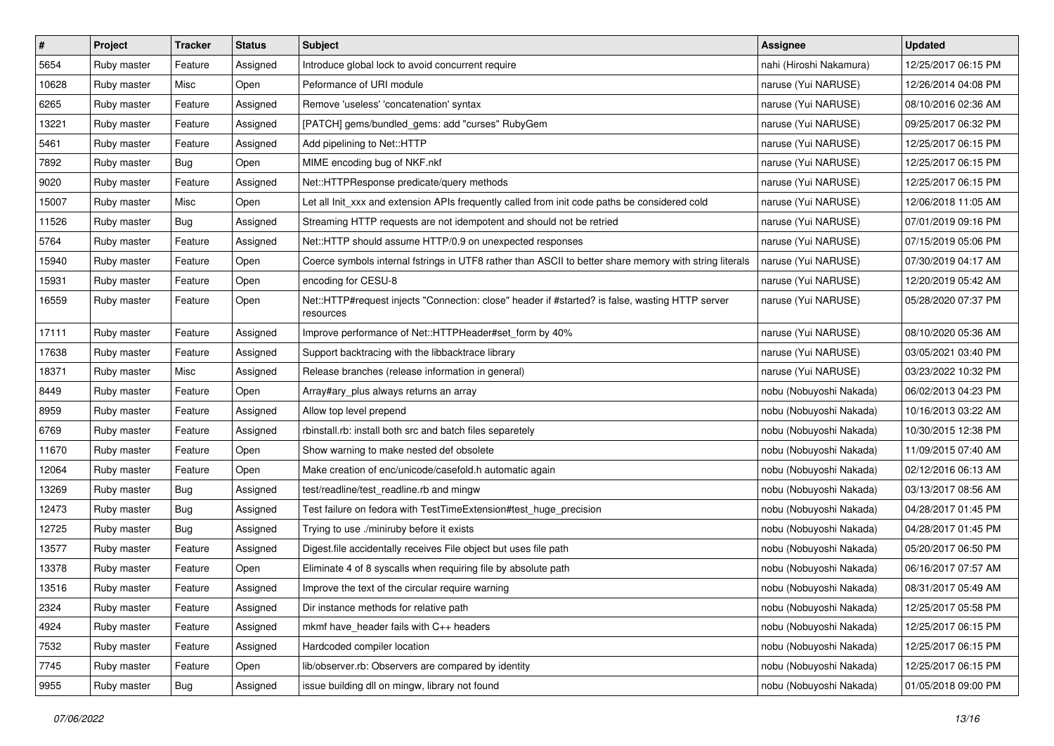| $\pmb{\#}$ | Project     | <b>Tracker</b> | <b>Status</b> | <b>Subject</b>                                                                                               | <b>Assignee</b>         | <b>Updated</b>      |
|------------|-------------|----------------|---------------|--------------------------------------------------------------------------------------------------------------|-------------------------|---------------------|
| 5654       | Ruby master | Feature        | Assigned      | Introduce global lock to avoid concurrent require                                                            | nahi (Hiroshi Nakamura) | 12/25/2017 06:15 PM |
| 10628      | Ruby master | Misc           | Open          | Peformance of URI module                                                                                     | naruse (Yui NARUSE)     | 12/26/2014 04:08 PM |
| 6265       | Ruby master | Feature        | Assigned      | Remove 'useless' 'concatenation' syntax                                                                      | naruse (Yui NARUSE)     | 08/10/2016 02:36 AM |
| 13221      | Ruby master | Feature        | Assigned      | [PATCH] gems/bundled_gems: add "curses" RubyGem                                                              | naruse (Yui NARUSE)     | 09/25/2017 06:32 PM |
| 5461       | Ruby master | Feature        | Assigned      | Add pipelining to Net::HTTP                                                                                  | naruse (Yui NARUSE)     | 12/25/2017 06:15 PM |
| 7892       | Ruby master | Bug            | Open          | MIME encoding bug of NKF.nkf                                                                                 | naruse (Yui NARUSE)     | 12/25/2017 06:15 PM |
| 9020       | Ruby master | Feature        | Assigned      | Net::HTTPResponse predicate/query methods                                                                    | naruse (Yui NARUSE)     | 12/25/2017 06:15 PM |
| 15007      | Ruby master | Misc           | Open          | Let all Init_xxx and extension APIs frequently called from init code paths be considered cold                | naruse (Yui NARUSE)     | 12/06/2018 11:05 AM |
| 11526      | Ruby master | Bug            | Assigned      | Streaming HTTP requests are not idempotent and should not be retried                                         | naruse (Yui NARUSE)     | 07/01/2019 09:16 PM |
| 5764       | Ruby master | Feature        | Assigned      | Net::HTTP should assume HTTP/0.9 on unexpected responses                                                     | naruse (Yui NARUSE)     | 07/15/2019 05:06 PM |
| 15940      | Ruby master | Feature        | Open          | Coerce symbols internal fstrings in UTF8 rather than ASCII to better share memory with string literals       | naruse (Yui NARUSE)     | 07/30/2019 04:17 AM |
| 15931      | Ruby master | Feature        | Open          | encoding for CESU-8                                                                                          | naruse (Yui NARUSE)     | 12/20/2019 05:42 AM |
| 16559      | Ruby master | Feature        | Open          | Net::HTTP#request injects "Connection: close" header if #started? is false, wasting HTTP server<br>resources | naruse (Yui NARUSE)     | 05/28/2020 07:37 PM |
| 17111      | Ruby master | Feature        | Assigned      | Improve performance of Net::HTTPHeader#set_form by 40%                                                       | naruse (Yui NARUSE)     | 08/10/2020 05:36 AM |
| 17638      | Ruby master | Feature        | Assigned      | Support backtracing with the libbacktrace library                                                            | naruse (Yui NARUSE)     | 03/05/2021 03:40 PM |
| 18371      | Ruby master | Misc           | Assigned      | Release branches (release information in general)                                                            | naruse (Yui NARUSE)     | 03/23/2022 10:32 PM |
| 8449       | Ruby master | Feature        | Open          | Array#ary plus always returns an array                                                                       | nobu (Nobuyoshi Nakada) | 06/02/2013 04:23 PM |
| 8959       | Ruby master | Feature        | Assigned      | Allow top level prepend                                                                                      | nobu (Nobuyoshi Nakada) | 10/16/2013 03:22 AM |
| 6769       | Ruby master | Feature        | Assigned      | rbinstall.rb: install both src and batch files separetely                                                    | nobu (Nobuyoshi Nakada) | 10/30/2015 12:38 PM |
| 11670      | Ruby master | Feature        | Open          | Show warning to make nested def obsolete                                                                     | nobu (Nobuyoshi Nakada) | 11/09/2015 07:40 AM |
| 12064      | Ruby master | Feature        | Open          | Make creation of enc/unicode/casefold.h automatic again                                                      | nobu (Nobuyoshi Nakada) | 02/12/2016 06:13 AM |
| 13269      | Ruby master | Bug            | Assigned      | test/readline/test_readline.rb and mingw                                                                     | nobu (Nobuyoshi Nakada) | 03/13/2017 08:56 AM |
| 12473      | Ruby master | <b>Bug</b>     | Assigned      | Test failure on fedora with TestTimeExtension#test_huge_precision                                            | nobu (Nobuyoshi Nakada) | 04/28/2017 01:45 PM |
| 12725      | Ruby master | Bug            | Assigned      | Trying to use ./miniruby before it exists                                                                    | nobu (Nobuyoshi Nakada) | 04/28/2017 01:45 PM |
| 13577      | Ruby master | Feature        | Assigned      | Digest file accidentally receives File object but uses file path                                             | nobu (Nobuyoshi Nakada) | 05/20/2017 06:50 PM |
| 13378      | Ruby master | Feature        | Open          | Eliminate 4 of 8 syscalls when requiring file by absolute path                                               | nobu (Nobuyoshi Nakada) | 06/16/2017 07:57 AM |
| 13516      | Ruby master | Feature        | Assigned      | Improve the text of the circular require warning                                                             | nobu (Nobuyoshi Nakada) | 08/31/2017 05:49 AM |
| 2324       | Ruby master | Feature        | Assigned      | Dir instance methods for relative path                                                                       | nobu (Nobuyoshi Nakada) | 12/25/2017 05:58 PM |
| 4924       | Ruby master | Feature        | Assigned      | mkmf have_header fails with C++ headers                                                                      | nobu (Nobuyoshi Nakada) | 12/25/2017 06:15 PM |
| 7532       | Ruby master | Feature        | Assigned      | Hardcoded compiler location                                                                                  | nobu (Nobuyoshi Nakada) | 12/25/2017 06:15 PM |
| 7745       | Ruby master | Feature        | Open          | lib/observer.rb: Observers are compared by identity                                                          | nobu (Nobuyoshi Nakada) | 12/25/2017 06:15 PM |
| 9955       | Ruby master | Bug            | Assigned      | issue building dll on mingw, library not found                                                               | nobu (Nobuyoshi Nakada) | 01/05/2018 09:00 PM |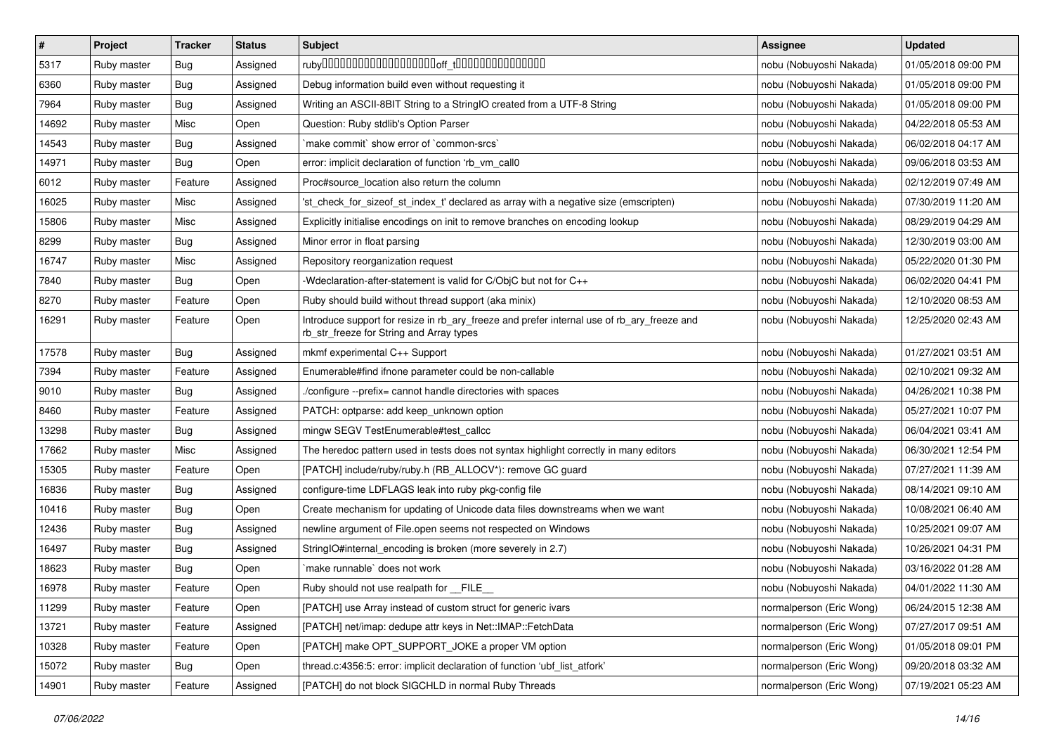| $\pmb{\#}$ | Project     | <b>Tracker</b> | <b>Status</b> | <b>Subject</b>                                                                                                                         | <b>Assignee</b>          | <b>Updated</b>      |
|------------|-------------|----------------|---------------|----------------------------------------------------------------------------------------------------------------------------------------|--------------------------|---------------------|
| 5317       | Ruby master | Bug            | Assigned      |                                                                                                                                        | nobu (Nobuyoshi Nakada)  | 01/05/2018 09:00 PM |
| 6360       | Ruby master | Bug            | Assigned      | Debug information build even without requesting it                                                                                     | nobu (Nobuyoshi Nakada)  | 01/05/2018 09:00 PM |
| 7964       | Ruby master | Bug            | Assigned      | Writing an ASCII-8BIT String to a StringIO created from a UTF-8 String                                                                 | nobu (Nobuyoshi Nakada)  | 01/05/2018 09:00 PM |
| 14692      | Ruby master | Misc           | Open          | Question: Ruby stdlib's Option Parser                                                                                                  | nobu (Nobuyoshi Nakada)  | 04/22/2018 05:53 AM |
| 14543      | Ruby master | <b>Bug</b>     | Assigned      | `make commit` show error of `common-srcs`                                                                                              | nobu (Nobuyoshi Nakada)  | 06/02/2018 04:17 AM |
| 14971      | Ruby master | Bug            | Open          | error: implicit declaration of function 'rb vm call0                                                                                   | nobu (Nobuyoshi Nakada)  | 09/06/2018 03:53 AM |
| 6012       | Ruby master | Feature        | Assigned      | Proc#source_location also return the column                                                                                            | nobu (Nobuyoshi Nakada)  | 02/12/2019 07:49 AM |
| 16025      | Ruby master | Misc           | Assigned      | 'st_check_for_sizeof_st_index_t' declared as array with a negative size (emscripten)                                                   | nobu (Nobuyoshi Nakada)  | 07/30/2019 11:20 AM |
| 15806      | Ruby master | Misc           | Assigned      | Explicitly initialise encodings on init to remove branches on encoding lookup                                                          | nobu (Nobuyoshi Nakada)  | 08/29/2019 04:29 AM |
| 8299       | Ruby master | <b>Bug</b>     | Assigned      | Minor error in float parsing                                                                                                           | nobu (Nobuyoshi Nakada)  | 12/30/2019 03:00 AM |
| 16747      | Ruby master | Misc           | Assigned      | Repository reorganization request                                                                                                      | nobu (Nobuyoshi Nakada)  | 05/22/2020 01:30 PM |
| 7840       | Ruby master | Bug            | Open          | -Wdeclaration-after-statement is valid for C/ObiC but not for C++                                                                      | nobu (Nobuyoshi Nakada)  | 06/02/2020 04:41 PM |
| 8270       | Ruby master | Feature        | Open          | Ruby should build without thread support (aka minix)                                                                                   | nobu (Nobuyoshi Nakada)  | 12/10/2020 08:53 AM |
| 16291      | Ruby master | Feature        | Open          | Introduce support for resize in rb_ary_freeze and prefer internal use of rb_ary_freeze and<br>rb_str_freeze for String and Array types | nobu (Nobuyoshi Nakada)  | 12/25/2020 02:43 AM |
| 17578      | Ruby master | Bug            | Assigned      | mkmf experimental C++ Support                                                                                                          | nobu (Nobuyoshi Nakada)  | 01/27/2021 03:51 AM |
| 7394       | Ruby master | Feature        | Assigned      | Enumerable#find ifnone parameter could be non-callable                                                                                 | nobu (Nobuyoshi Nakada)  | 02/10/2021 09:32 AM |
| 9010       | Ruby master | <b>Bug</b>     | Assigned      | ./configure --prefix= cannot handle directories with spaces                                                                            | nobu (Nobuyoshi Nakada)  | 04/26/2021 10:38 PM |
| 8460       | Ruby master | Feature        | Assigned      | PATCH: optparse: add keep_unknown option                                                                                               | nobu (Nobuyoshi Nakada)  | 05/27/2021 10:07 PM |
| 13298      | Ruby master | Bug            | Assigned      | mingw SEGV TestEnumerable#test_callcc                                                                                                  | nobu (Nobuyoshi Nakada)  | 06/04/2021 03:41 AM |
| 17662      | Ruby master | Misc           | Assigned      | The heredoc pattern used in tests does not syntax highlight correctly in many editors                                                  | nobu (Nobuyoshi Nakada)  | 06/30/2021 12:54 PM |
| 15305      | Ruby master | Feature        | Open          | [PATCH] include/ruby/ruby.h (RB_ALLOCV*): remove GC guard                                                                              | nobu (Nobuyoshi Nakada)  | 07/27/2021 11:39 AM |
| 16836      | Ruby master | Bug            | Assigned      | configure-time LDFLAGS leak into ruby pkg-config file                                                                                  | nobu (Nobuyoshi Nakada)  | 08/14/2021 09:10 AM |
| 10416      | Ruby master | <b>Bug</b>     | Open          | Create mechanism for updating of Unicode data files downstreams when we want                                                           | nobu (Nobuyoshi Nakada)  | 10/08/2021 06:40 AM |
| 12436      | Ruby master | Bug            | Assigned      | newline argument of File.open seems not respected on Windows                                                                           | nobu (Nobuyoshi Nakada)  | 10/25/2021 09:07 AM |
| 16497      | Ruby master | Bug            | Assigned      | StringIO#internal_encoding is broken (more severely in 2.7)                                                                            | nobu (Nobuyoshi Nakada)  | 10/26/2021 04:31 PM |
| 18623      | Ruby master | Bug            | Open          | `make runnable` does not work                                                                                                          | nobu (Nobuyoshi Nakada)  | 03/16/2022 01:28 AM |
| 16978      | Ruby master | Feature        | Open          | Ruby should not use realpath for __FILE_                                                                                               | nobu (Nobuyoshi Nakada)  | 04/01/2022 11:30 AM |
| 11299      | Ruby master | Feature        | Open          | [PATCH] use Array instead of custom struct for generic ivars                                                                           | normalperson (Eric Wong) | 06/24/2015 12:38 AM |
| 13721      | Ruby master | Feature        | Assigned      | [PATCH] net/imap: dedupe attr keys in Net::IMAP::FetchData                                                                             | normalperson (Eric Wong) | 07/27/2017 09:51 AM |
| 10328      | Ruby master | Feature        | Open          | [PATCH] make OPT_SUPPORT_JOKE a proper VM option                                                                                       | normalperson (Eric Wong) | 01/05/2018 09:01 PM |
| 15072      | Ruby master | <b>Bug</b>     | Open          | thread.c:4356:5: error: implicit declaration of function 'ubf_list_atfork'                                                             | normalperson (Eric Wong) | 09/20/2018 03:32 AM |
| 14901      | Ruby master | Feature        | Assigned      | [PATCH] do not block SIGCHLD in normal Ruby Threads                                                                                    | normalperson (Eric Wong) | 07/19/2021 05:23 AM |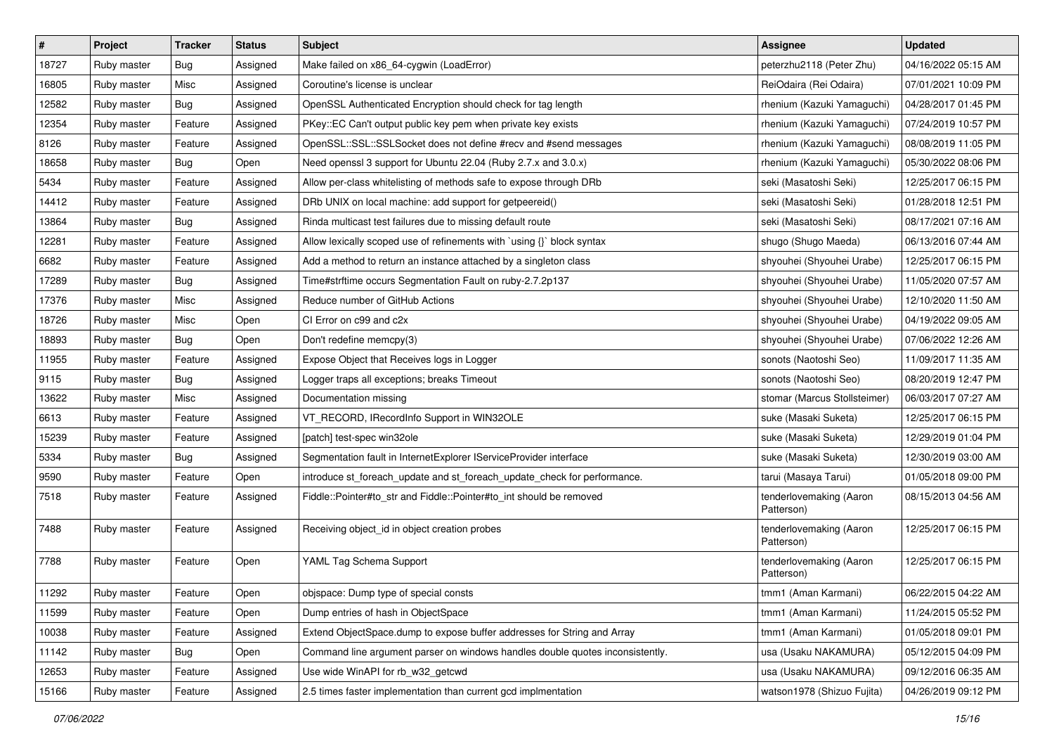| $\vert$ # | Project     | Tracker    | <b>Status</b> | <b>Subject</b>                                                                | <b>Assignee</b>                       | <b>Updated</b>      |
|-----------|-------------|------------|---------------|-------------------------------------------------------------------------------|---------------------------------------|---------------------|
| 18727     | Ruby master | <b>Bug</b> | Assigned      | Make failed on x86_64-cygwin (LoadError)                                      | peterzhu2118 (Peter Zhu)              | 04/16/2022 05:15 AM |
| 16805     | Ruby master | Misc       | Assigned      | Coroutine's license is unclear                                                | ReiOdaira (Rei Odaira)                | 07/01/2021 10:09 PM |
| 12582     | Ruby master | Bug        | Assigned      | OpenSSL Authenticated Encryption should check for tag length                  | rhenium (Kazuki Yamaguchi)            | 04/28/2017 01:45 PM |
| 12354     | Ruby master | Feature    | Assigned      | PKey::EC Can't output public key pem when private key exists                  | rhenium (Kazuki Yamaguchi)            | 07/24/2019 10:57 PM |
| 8126      | Ruby master | Feature    | Assigned      | OpenSSL::SSL::SSLSocket does not define #recv and #send messages              | rhenium (Kazuki Yamaguchi)            | 08/08/2019 11:05 PM |
| 18658     | Ruby master | Bug        | Open          | Need openssl 3 support for Ubuntu 22.04 (Ruby 2.7.x and 3.0.x)                | rhenium (Kazuki Yamaguchi)            | 05/30/2022 08:06 PM |
| 5434      | Ruby master | Feature    | Assigned      | Allow per-class whitelisting of methods safe to expose through DRb            | seki (Masatoshi Seki)                 | 12/25/2017 06:15 PM |
| 14412     | Ruby master | Feature    | Assigned      | DRb UNIX on local machine: add support for getpeereid()                       | seki (Masatoshi Seki)                 | 01/28/2018 12:51 PM |
| 13864     | Ruby master | Bug        | Assigned      | Rinda multicast test failures due to missing default route                    | seki (Masatoshi Seki)                 | 08/17/2021 07:16 AM |
| 12281     | Ruby master | Feature    | Assigned      | Allow lexically scoped use of refinements with `using {}` block syntax        | shugo (Shugo Maeda)                   | 06/13/2016 07:44 AM |
| 6682      | Ruby master | Feature    | Assigned      | Add a method to return an instance attached by a singleton class              | shyouhei (Shyouhei Urabe)             | 12/25/2017 06:15 PM |
| 17289     | Ruby master | Bug        | Assigned      | Time#strftime occurs Segmentation Fault on ruby-2.7.2p137                     | shyouhei (Shyouhei Urabe)             | 11/05/2020 07:57 AM |
| 17376     | Ruby master | Misc       | Assigned      | Reduce number of GitHub Actions                                               | shyouhei (Shyouhei Urabe)             | 12/10/2020 11:50 AM |
| 18726     | Ruby master | Misc       | Open          | CI Error on c99 and c2x                                                       | shyouhei (Shyouhei Urabe)             | 04/19/2022 09:05 AM |
| 18893     | Ruby master | Bug        | Open          | Don't redefine memcpy(3)                                                      | shyouhei (Shyouhei Urabe)             | 07/06/2022 12:26 AM |
| 11955     | Ruby master | Feature    | Assigned      | Expose Object that Receives logs in Logger                                    | sonots (Naotoshi Seo)                 | 11/09/2017 11:35 AM |
| 9115      | Ruby master | Bug        | Assigned      | Logger traps all exceptions; breaks Timeout                                   | sonots (Naotoshi Seo)                 | 08/20/2019 12:47 PM |
| 13622     | Ruby master | Misc       | Assigned      | Documentation missing                                                         | stomar (Marcus Stollsteimer)          | 06/03/2017 07:27 AM |
| 6613      | Ruby master | Feature    | Assigned      | VT_RECORD, IRecordInfo Support in WIN32OLE                                    | suke (Masaki Suketa)                  | 12/25/2017 06:15 PM |
| 15239     | Ruby master | Feature    | Assigned      | [patch] test-spec win32ole                                                    | suke (Masaki Suketa)                  | 12/29/2019 01:04 PM |
| 5334      | Ruby master | Bug        | Assigned      | Segmentation fault in InternetExplorer IServiceProvider interface             | suke (Masaki Suketa)                  | 12/30/2019 03:00 AM |
| 9590      | Ruby master | Feature    | Open          | introduce st_foreach_update and st_foreach_update_check for performance.      | tarui (Masaya Tarui)                  | 01/05/2018 09:00 PM |
| 7518      | Ruby master | Feature    | Assigned      | Fiddle::Pointer#to_str and Fiddle::Pointer#to_int should be removed           | tenderlovemaking (Aaron<br>Patterson) | 08/15/2013 04:56 AM |
| 7488      | Ruby master | Feature    | Assigned      | Receiving object_id in object creation probes                                 | tenderlovemaking (Aaron<br>Patterson) | 12/25/2017 06:15 PM |
| 7788      | Ruby master | Feature    | Open          | YAML Tag Schema Support                                                       | tenderlovemaking (Aaron<br>Patterson) | 12/25/2017 06:15 PM |
| 11292     | Ruby master | Feature    | Open          | objspace: Dump type of special consts                                         | tmm1 (Aman Karmani)                   | 06/22/2015 04:22 AM |
| 11599     | Ruby master | Feature    | Open          | Dump entries of hash in ObjectSpace                                           | tmm1 (Aman Karmani)                   | 11/24/2015 05:52 PM |
| 10038     | Ruby master | Feature    | Assigned      | Extend ObjectSpace.dump to expose buffer addresses for String and Array       | tmm1 (Aman Karmani)                   | 01/05/2018 09:01 PM |
| 11142     | Ruby master | Bug        | Open          | Command line argument parser on windows handles double quotes inconsistently. | usa (Usaku NAKAMURA)                  | 05/12/2015 04:09 PM |
| 12653     | Ruby master | Feature    | Assigned      | Use wide WinAPI for rb_w32_getcwd                                             | usa (Usaku NAKAMURA)                  | 09/12/2016 06:35 AM |
| 15166     | Ruby master | Feature    | Assigned      | 2.5 times faster implementation than current gcd implmentation                | watson1978 (Shizuo Fujita)            | 04/26/2019 09:12 PM |